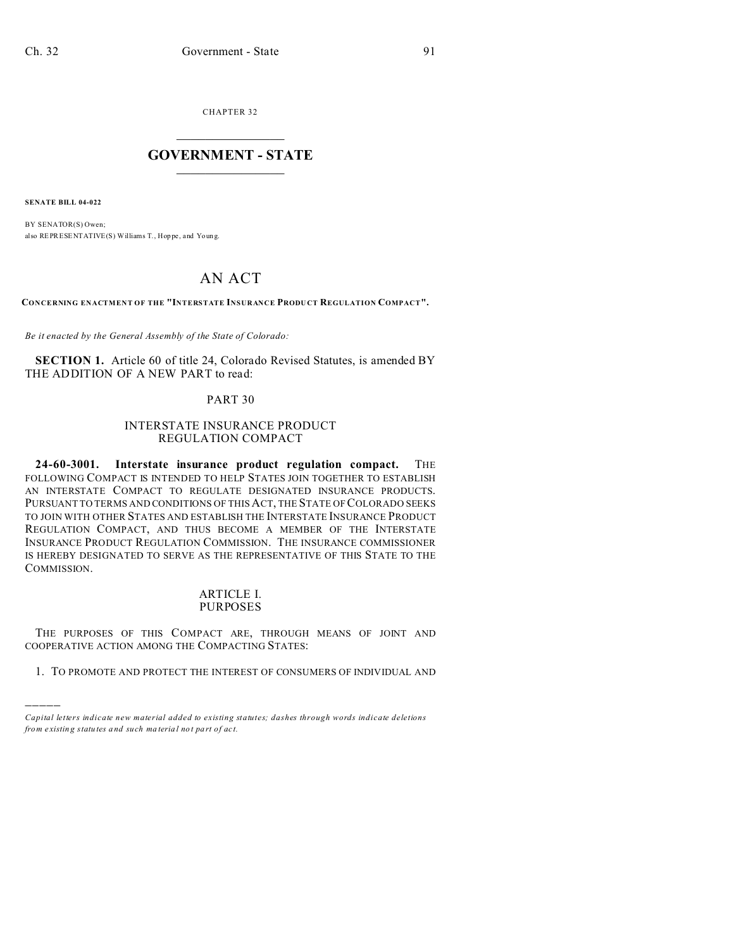CHAPTER 32  $\overline{\phantom{a}}$  , where  $\overline{\phantom{a}}$ 

#### **GOVERNMENT - STATE**  $\_$   $\_$

**SENATE BILL 04-022**

)))))

BY SENATOR(S) Owen; also REPRESENTATIVE(S) Williams T., Hop pe , and Youn g.

# AN ACT

**CONCERNING ENACTMENT OF THE "INTERSTATE INSURANCE PRODU CT REGULATION COMPACT".**

*Be it enacted by the General Assembly of the State of Colorado:*

**SECTION 1.** Article 60 of title 24, Colorado Revised Statutes, is amended BY THE ADDITION OF A NEW PART to read:

#### PART 30

#### INTERSTATE INSURANCE PRODUCT REGULATION COMPACT

**24-60-3001. Interstate insurance product regulation compact.** THE FOLLOWING COMPACT IS INTENDED TO HELP STATES JOIN TOGETHER TO ESTABLISH AN INTERSTATE COMPACT TO REGULATE DESIGNATED INSURANCE PRODUCTS. PURSUANT TO TERMS AND CONDITIONS OF THIS ACT, THE STATE OF COLORADO SEEKS TO JOIN WITH OTHER STATES AND ESTABLISH THE INTERSTATE INSURANCE PRODUCT REGULATION COMPACT, AND THUS BECOME A MEMBER OF THE INTERSTATE INSURANCE PRODUCT REGULATION COMMISSION. THE INSURANCE COMMISSIONER IS HEREBY DESIGNATED TO SERVE AS THE REPRESENTATIVE OF THIS STATE TO THE COMMISSION.

#### ARTICLE I. PURPOSES

THE PURPOSES OF THIS COMPACT ARE, THROUGH MEANS OF JOINT AND COOPERATIVE ACTION AMONG THE COMPACTING STATES:

1. TO PROMOTE AND PROTECT THE INTEREST OF CONSUMERS OF INDIVIDUAL AND

*Capital letters indicate new material added to existing statutes; dashes through words indicate deletions from e xistin g statu tes a nd such ma teria l no t pa rt of ac t.*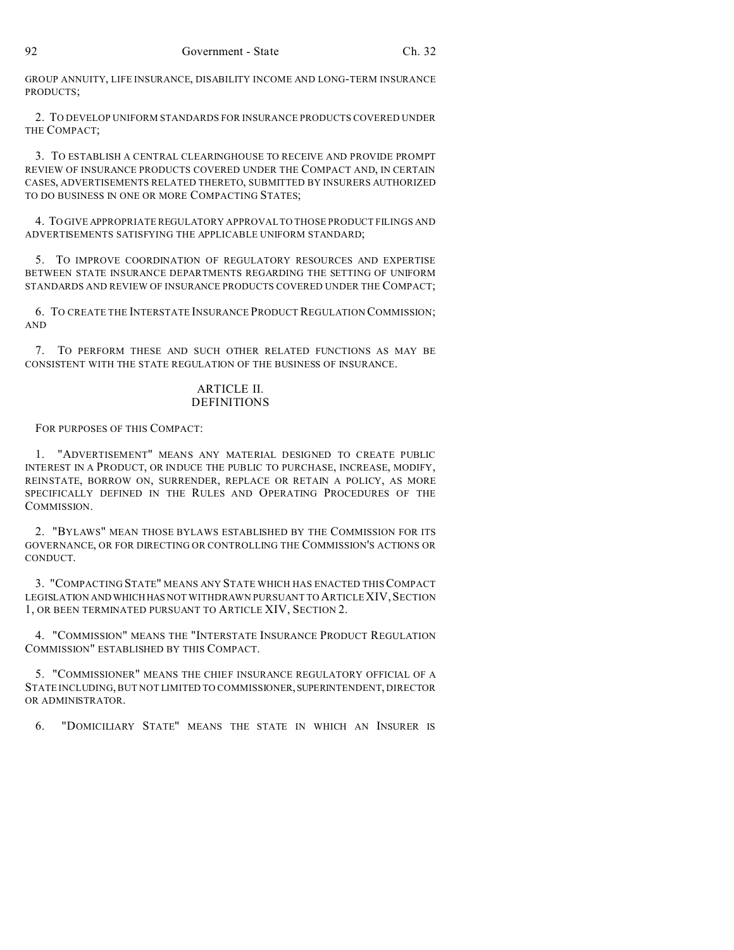GROUP ANNUITY, LIFE INSURANCE, DISABILITY INCOME AND LONG-TERM INSURANCE PRODUCTS;

2. TO DEVELOP UNIFORM STANDARDS FOR INSURANCE PRODUCTS COVERED UNDER THE COMPACT;

3. TO ESTABLISH A CENTRAL CLEARINGHOUSE TO RECEIVE AND PROVIDE PROMPT REVIEW OF INSURANCE PRODUCTS COVERED UNDER THE COMPACT AND, IN CERTAIN CASES, ADVERTISEMENTS RELATED THERETO, SUBMITTED BY INSURERS AUTHORIZED TO DO BUSINESS IN ONE OR MORE COMPACTING STATES;

4. TO GIVE APPROPRIATE REGULATORY APPROVAL TO THOSE PRODUCT FILINGS AND ADVERTISEMENTS SATISFYING THE APPLICABLE UNIFORM STANDARD;

5. TO IMPROVE COORDINATION OF REGULATORY RESOURCES AND EXPERTISE BETWEEN STATE INSURANCE DEPARTMENTS REGARDING THE SETTING OF UNIFORM STANDARDS AND REVIEW OF INSURANCE PRODUCTS COVERED UNDER THE COMPACT;

6. TO CREATE THE INTERSTATE INSURANCE PRODUCT REGULATION COMMISSION; AND

7. TO PERFORM THESE AND SUCH OTHER RELATED FUNCTIONS AS MAY BE CONSISTENT WITH THE STATE REGULATION OF THE BUSINESS OF INSURANCE.

#### ARTICLE II. DEFINITIONS

FOR PURPOSES OF THIS COMPACT:

1. "ADVERTISEMENT" MEANS ANY MATERIAL DESIGNED TO CREATE PUBLIC INTEREST IN A PRODUCT, OR INDUCE THE PUBLIC TO PURCHASE, INCREASE, MODIFY, REINSTATE, BORROW ON, SURRENDER, REPLACE OR RETAIN A POLICY, AS MORE SPECIFICALLY DEFINED IN THE RULES AND OPERATING PROCEDURES OF THE COMMISSION.

2. "BYLAWS" MEAN THOSE BYLAWS ESTABLISHED BY THE COMMISSION FOR ITS GOVERNANCE, OR FOR DIRECTING OR CONTROLLING THE COMMISSION'S ACTIONS OR CONDUCT.

3. "COMPACTING STATE" MEANS ANY STATE WHICH HAS ENACTED THISCOMPACT LEGISLATION AND WHICH HAS NOT WITHDRAWN PURSUANT TO ARTICLE XIV, SECTION 1, OR BEEN TERMINATED PURSUANT TO ARTICLE XIV, SECTION 2.

4. "COMMISSION" MEANS THE "INTERSTATE INSURANCE PRODUCT REGULATION COMMISSION" ESTABLISHED BY THIS COMPACT.

5. "COMMISSIONER" MEANS THE CHIEF INSURANCE REGULATORY OFFICIAL OF A STATE INCLUDING, BUT NOT LIMITED TO COMMISSIONER, SUPERINTENDENT, DIRECTOR OR ADMINISTRATOR.

6. "DOMICILIARY STATE" MEANS THE STATE IN WHICH AN INSURER IS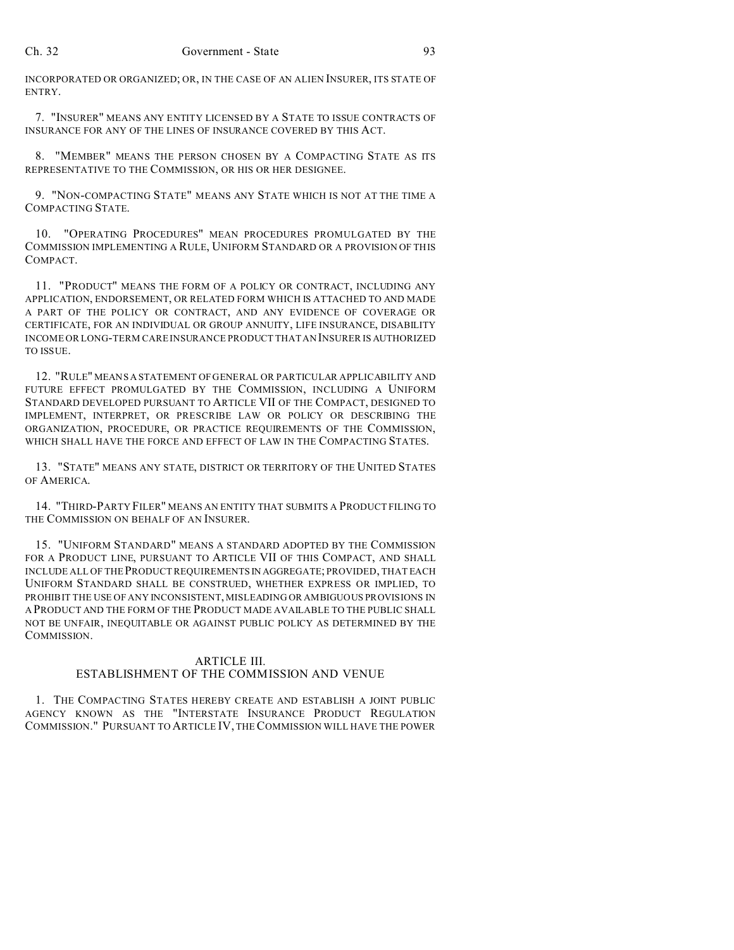INCORPORATED OR ORGANIZED; OR, IN THE CASE OF AN ALIEN INSURER, ITS STATE OF ENTRY.

7. "INSURER" MEANS ANY ENTITY LICENSED BY A STATE TO ISSUE CONTRACTS OF INSURANCE FOR ANY OF THE LINES OF INSURANCE COVERED BY THIS ACT.

8. "MEMBER" MEANS THE PERSON CHOSEN BY A COMPACTING STATE AS ITS REPRESENTATIVE TO THE COMMISSION, OR HIS OR HER DESIGNEE.

9. "NON-COMPACTING STATE" MEANS ANY STATE WHICH IS NOT AT THE TIME A COMPACTING STATE.

10. "OPERATING PROCEDURES" MEAN PROCEDURES PROMULGATED BY THE COMMISSION IMPLEMENTING A RULE, UNIFORM STANDARD OR A PROVISION OF THIS COMPACT.

11. "PRODUCT" MEANS THE FORM OF A POLICY OR CONTRACT, INCLUDING ANY APPLICATION, ENDORSEMENT, OR RELATED FORM WHICH IS ATTACHED TO AND MADE A PART OF THE POLICY OR CONTRACT, AND ANY EVIDENCE OF COVERAGE OR CERTIFICATE, FOR AN INDIVIDUAL OR GROUP ANNUITY, LIFE INSURANCE, DISABILITY INCOME OR LONG-TERM CARE INSURANCE PRODUCT THAT AN INSURER IS AUTHORIZED TO ISSUE.

12. "RULE" MEANS A STATEMENT OF GENERAL OR PARTICULAR APPLICABILITY AND FUTURE EFFECT PROMULGATED BY THE COMMISSION, INCLUDING A UNIFORM STANDARD DEVELOPED PURSUANT TO ARTICLE VII OF THE COMPACT, DESIGNED TO IMPLEMENT, INTERPRET, OR PRESCRIBE LAW OR POLICY OR DESCRIBING THE ORGANIZATION, PROCEDURE, OR PRACTICE REQUIREMENTS OF THE COMMISSION, WHICH SHALL HAVE THE FORCE AND EFFECT OF LAW IN THE COMPACTING STATES.

13. "STATE" MEANS ANY STATE, DISTRICT OR TERRITORY OF THE UNITED STATES OF AMERICA.

14. "THIRD-PARTY FILER" MEANS AN ENTITY THAT SUBMITS A PRODUCT FILING TO THE COMMISSION ON BEHALF OF AN INSURER.

15. "UNIFORM STANDARD" MEANS A STANDARD ADOPTED BY THE COMMISSION FOR A PRODUCT LINE, PURSUANT TO ARTICLE VII OF THIS COMPACT, AND SHALL INCLUDE ALL OF THE PRODUCT REQUIREMENTS IN AGGREGATE; PROVIDED, THAT EACH UNIFORM STANDARD SHALL BE CONSTRUED, WHETHER EXPRESS OR IMPLIED, TO PROHIBIT THE USE OF ANY INCONSISTENT, MISLEADING OR AMBIGUOUS PROVISIONS IN A PRODUCT AND THE FORM OF THE PRODUCT MADE AVAILABLE TO THE PUBLIC SHALL NOT BE UNFAIR, INEQUITABLE OR AGAINST PUBLIC POLICY AS DETERMINED BY THE COMMISSION.

#### ARTICLE III.

## ESTABLISHMENT OF THE COMMISSION AND VENUE

1. THE COMPACTING STATES HEREBY CREATE AND ESTABLISH A JOINT PUBLIC AGENCY KNOWN AS THE "INTERSTATE INSURANCE PRODUCT REGULATION COMMISSION." PURSUANT TO ARTICLE IV, THE COMMISSION WILL HAVE THE POWER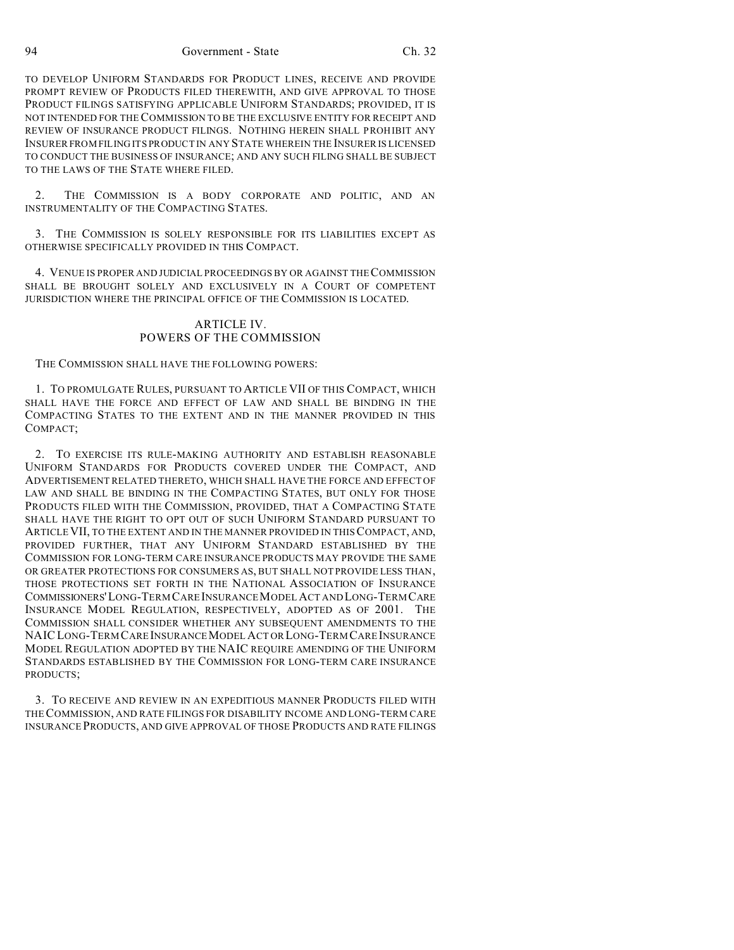94 Government - State Ch. 32

TO DEVELOP UNIFORM STANDARDS FOR PRODUCT LINES, RECEIVE AND PROVIDE PROMPT REVIEW OF PRODUCTS FILED THEREWITH, AND GIVE APPROVAL TO THOSE PRODUCT FILINGS SATISFYING APPLICABLE UNIFORM STANDARDS; PROVIDED, IT IS NOT INTENDED FOR THE COMMISSION TO BE THE EXCLUSIVE ENTITY FOR RECEIPT AND REVIEW OF INSURANCE PRODUCT FILINGS. NOTHING HEREIN SHALL PROHIBIT ANY INSURER FROM FILING ITS PRODUCT IN ANY STATE WHEREIN THE INSURER IS LICENSED TO CONDUCT THE BUSINESS OF INSURANCE; AND ANY SUCH FILING SHALL BE SUBJECT TO THE LAWS OF THE STATE WHERE FILED.

2. THE COMMISSION IS A BODY CORPORATE AND POLITIC, AND AN INSTRUMENTALITY OF THE COMPACTING STATES.

3. THE COMMISSION IS SOLELY RESPONSIBLE FOR ITS LIABILITIES EXCEPT AS OTHERWISE SPECIFICALLY PROVIDED IN THIS COMPACT.

4. VENUE IS PROPER AND JUDICIAL PROCEEDINGS BY OR AGAINST THE COMMISSION SHALL BE BROUGHT SOLELY AND EXCLUSIVELY IN A COURT OF COMPETENT JURISDICTION WHERE THE PRINCIPAL OFFICE OF THE COMMISSION IS LOCATED.

#### ARTICLE IV. POWERS OF THE COMMISSION

THE COMMISSION SHALL HAVE THE FOLLOWING POWERS:

1. TO PROMULGATE RULES, PURSUANT TO ARTICLE VII OF THIS COMPACT, WHICH SHALL HAVE THE FORCE AND EFFECT OF LAW AND SHALL BE BINDING IN THE COMPACTING STATES TO THE EXTENT AND IN THE MANNER PROVIDED IN THIS COMPACT;

2. TO EXERCISE ITS RULE-MAKING AUTHORITY AND ESTABLISH REASONABLE UNIFORM STANDARDS FOR PRODUCTS COVERED UNDER THE COMPACT, AND ADVERTISEMENT RELATED THERETO, WHICH SHALL HAVE THE FORCE AND EFFECT OF LAW AND SHALL BE BINDING IN THE COMPACTING STATES, BUT ONLY FOR THOSE PRODUCTS FILED WITH THE COMMISSION, PROVIDED, THAT A COMPACTING STATE SHALL HAVE THE RIGHT TO OPT OUT OF SUCH UNIFORM STANDARD PURSUANT TO ARTICLEVII, TO THE EXTENT AND IN THE MANNER PROVIDED IN THIS COMPACT, AND, PROVIDED FURTHER, THAT ANY UNIFORM STANDARD ESTABLISHED BY THE COMMISSION FOR LONG-TERM CARE INSURANCE PRODUCTS MAY PROVIDE THE SAME OR GREATER PROTECTIONS FOR CONSUMERS AS, BUT SHALL NOT PROVIDE LESS THAN, THOSE PROTECTIONS SET FORTH IN THE NATIONAL ASSOCIATION OF INSURANCE COMMISSIONERS'LONG-TERM CARE INSURANCE MODEL ACT AND LONG-TERM CARE INSURANCE MODEL REGULATION, RESPECTIVELY, ADOPTED AS OF 2001. THE COMMISSION SHALL CONSIDER WHETHER ANY SUBSEQUENT AMENDMENTS TO THE NAICLONG-TERM CARE INSURANCE MODEL ACT OR LONG-TERM CARE INSURANCE MODEL REGULATION ADOPTED BY THE NAIC REQUIRE AMENDING OF THE UNIFORM STANDARDS ESTABLISHED BY THE COMMISSION FOR LONG-TERM CARE INSURANCE PRODUCTS;

3. TO RECEIVE AND REVIEW IN AN EXPEDITIOUS MANNER PRODUCTS FILED WITH THECOMMISSION, AND RATE FILINGS FOR DISABILITY INCOME AND LONG-TERM CARE INSURANCE PRODUCTS, AND GIVE APPROVAL OF THOSE PRODUCTS AND RATE FILINGS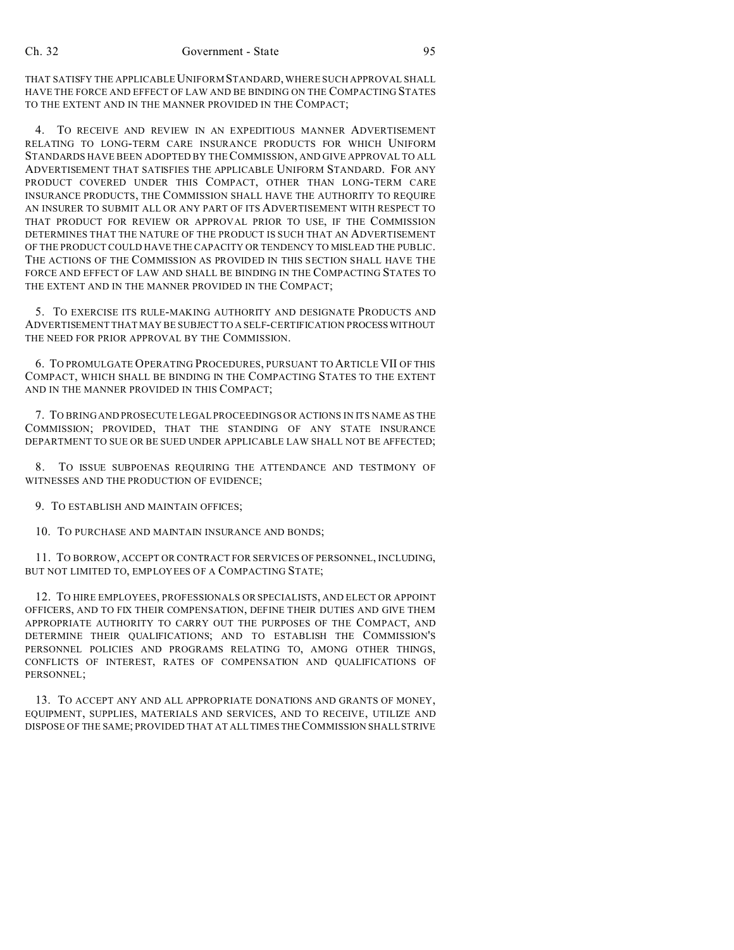THAT SATISFY THE APPLICABLE UNIFORMSTANDARD, WHERE SUCH APPROVAL SHALL HAVE THE FORCE AND EFFECT OF LAW AND BE BINDING ON THE COMPACTING STATES TO THE EXTENT AND IN THE MANNER PROVIDED IN THE COMPACT;

4. TO RECEIVE AND REVIEW IN AN EXPEDITIOUS MANNER ADVERTISEMENT RELATING TO LONG-TERM CARE INSURANCE PRODUCTS FOR WHICH UNIFORM STANDARDS HAVE BEEN ADOPTED BY THECOMMISSION, AND GIVE APPROVAL TO ALL ADVERTISEMENT THAT SATISFIES THE APPLICABLE UNIFORM STANDARD. FOR ANY PRODUCT COVERED UNDER THIS COMPACT, OTHER THAN LONG-TERM CARE INSURANCE PRODUCTS, THE COMMISSION SHALL HAVE THE AUTHORITY TO REQUIRE AN INSURER TO SUBMIT ALL OR ANY PART OF ITS ADVERTISEMENT WITH RESPECT TO THAT PRODUCT FOR REVIEW OR APPROVAL PRIOR TO USE, IF THE COMMISSION DETERMINES THAT THE NATURE OF THE PRODUCT IS SUCH THAT AN ADVERTISEMENT OF THE PRODUCT COULD HAVE THE CAPACITY OR TENDENCY TO MISLEAD THE PUBLIC. THE ACTIONS OF THE COMMISSION AS PROVIDED IN THIS SECTION SHALL HAVE THE FORCE AND EFFECT OF LAW AND SHALL BE BINDING IN THE COMPACTING STATES TO THE EXTENT AND IN THE MANNER PROVIDED IN THE COMPACT;

5. TO EXERCISE ITS RULE-MAKING AUTHORITY AND DESIGNATE PRODUCTS AND ADVERTISEMENT THAT MAY BE SUBJECT TO A SELF-CERTIFICATION PROCESS WITHOUT THE NEED FOR PRIOR APPROVAL BY THE COMMISSION.

6. TO PROMULGATE OPERATING PROCEDURES, PURSUANT TO ARTICLE VII OF THIS COMPACT, WHICH SHALL BE BINDING IN THE COMPACTING STATES TO THE EXTENT AND IN THE MANNER PROVIDED IN THIS COMPACT;

7. TO BRING AND PROSECUTE LEGAL PROCEEDINGS OR ACTIONS IN ITS NAME AS THE COMMISSION; PROVIDED, THAT THE STANDING OF ANY STATE INSURANCE DEPARTMENT TO SUE OR BE SUED UNDER APPLICABLE LAW SHALL NOT BE AFFECTED;

8. TO ISSUE SUBPOENAS REQUIRING THE ATTENDANCE AND TESTIMONY OF WITNESSES AND THE PRODUCTION OF EVIDENCE;

9. TO ESTABLISH AND MAINTAIN OFFICES;

10. TO PURCHASE AND MAINTAIN INSURANCE AND BONDS;

11. TO BORROW, ACCEPT OR CONTRACT FOR SERVICES OF PERSONNEL, INCLUDING, BUT NOT LIMITED TO, EMPLOYEES OF A COMPACTING STATE;

12. TO HIRE EMPLOYEES, PROFESSIONALS OR SPECIALISTS, AND ELECT OR APPOINT OFFICERS, AND TO FIX THEIR COMPENSATION, DEFINE THEIR DUTIES AND GIVE THEM APPROPRIATE AUTHORITY TO CARRY OUT THE PURPOSES OF THE COMPACT, AND DETERMINE THEIR QUALIFICATIONS; AND TO ESTABLISH THE COMMISSION'S PERSONNEL POLICIES AND PROGRAMS RELATING TO, AMONG OTHER THINGS, CONFLICTS OF INTEREST, RATES OF COMPENSATION AND QUALIFICATIONS OF PERSONNEL;

13. TO ACCEPT ANY AND ALL APPROPRIATE DONATIONS AND GRANTS OF MONEY, EQUIPMENT, SUPPLIES, MATERIALS AND SERVICES, AND TO RECEIVE, UTILIZE AND DISPOSE OF THE SAME; PROVIDED THAT AT ALL TIMES THE COMMISSION SHALL STRIVE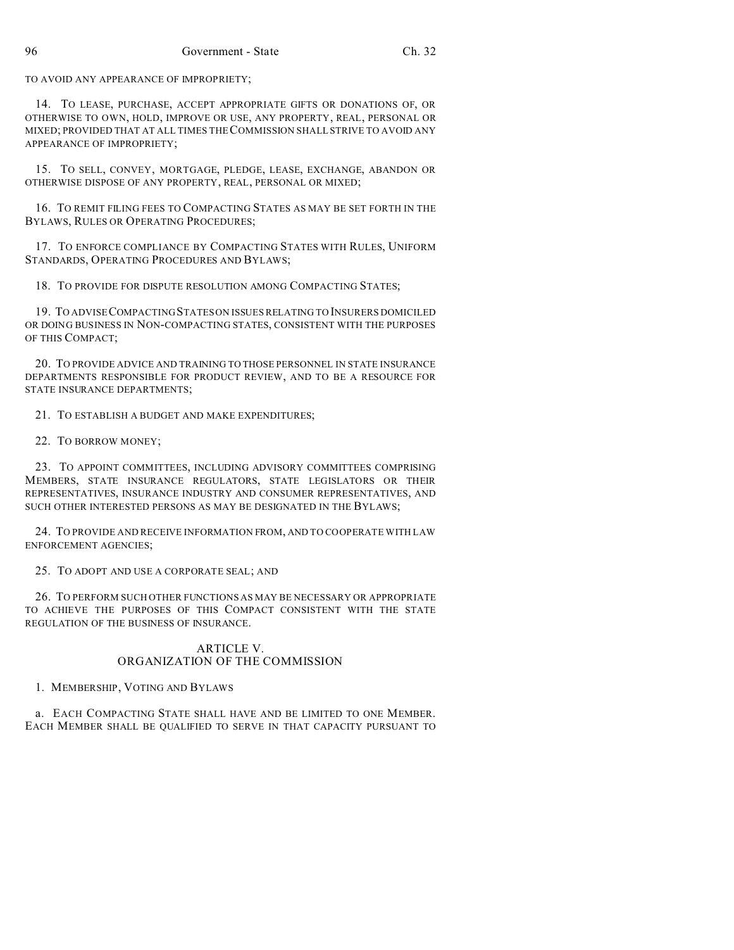TO AVOID ANY APPEARANCE OF IMPROPRIETY;

14. TO LEASE, PURCHASE, ACCEPT APPROPRIATE GIFTS OR DONATIONS OF, OR OTHERWISE TO OWN, HOLD, IMPROVE OR USE, ANY PROPERTY, REAL, PERSONAL OR MIXED; PROVIDED THAT AT ALL TIMES THE COMMISSION SHALL STRIVE TO AVOID ANY APPEARANCE OF IMPROPRIETY;

15. TO SELL, CONVEY, MORTGAGE, PLEDGE, LEASE, EXCHANGE, ABANDON OR OTHERWISE DISPOSE OF ANY PROPERTY, REAL, PERSONAL OR MIXED;

16. TO REMIT FILING FEES TO COMPACTING STATES AS MAY BE SET FORTH IN THE BYLAWS, RULES OR OPERATING PROCEDURES;

17. TO ENFORCE COMPLIANCE BY COMPACTING STATES WITH RULES, UNIFORM STANDARDS, OPERATING PROCEDURES AND BYLAWS;

18. TO PROVIDE FOR DISPUTE RESOLUTION AMONG COMPACTING STATES;

19. TO ADVISE COMPACTING STATES ON ISSUES RELATING TO INSURERS DOMICILED OR DOING BUSINESS IN NON-COMPACTING STATES, CONSISTENT WITH THE PURPOSES OF THIS COMPACT;

20. TO PROVIDE ADVICE AND TRAINING TO THOSE PERSONNEL IN STATE INSURANCE DEPARTMENTS RESPONSIBLE FOR PRODUCT REVIEW, AND TO BE A RESOURCE FOR STATE INSURANCE DEPARTMENTS;

21. TO ESTABLISH A BUDGET AND MAKE EXPENDITURES;

22. TO BORROW MONEY;

23. TO APPOINT COMMITTEES, INCLUDING ADVISORY COMMITTEES COMPRISING MEMBERS, STATE INSURANCE REGULATORS, STATE LEGISLATORS OR THEIR REPRESENTATIVES, INSURANCE INDUSTRY AND CONSUMER REPRESENTATIVES, AND SUCH OTHER INTERESTED PERSONS AS MAY BE DESIGNATED IN THE BYLAWS;

24. TO PROVIDE AND RECEIVE INFORMATION FROM, AND TO COOPERATE WITH LAW ENFORCEMENT AGENCIES;

25. TO ADOPT AND USE A CORPORATE SEAL; AND

26. TO PERFORM SUCH OTHER FUNCTIONS AS MAY BE NECESSARY OR APPROPRIATE TO ACHIEVE THE PURPOSES OF THIS COMPACT CONSISTENT WITH THE STATE REGULATION OF THE BUSINESS OF INSURANCE.

## ARTICLE V. ORGANIZATION OF THE COMMISSION

1. MEMBERSHIP, VOTING AND BYLAWS

a. EACH COMPACTING STATE SHALL HAVE AND BE LIMITED TO ONE MEMBER. EACH MEMBER SHALL BE QUALIFIED TO SERVE IN THAT CAPACITY PURSUANT TO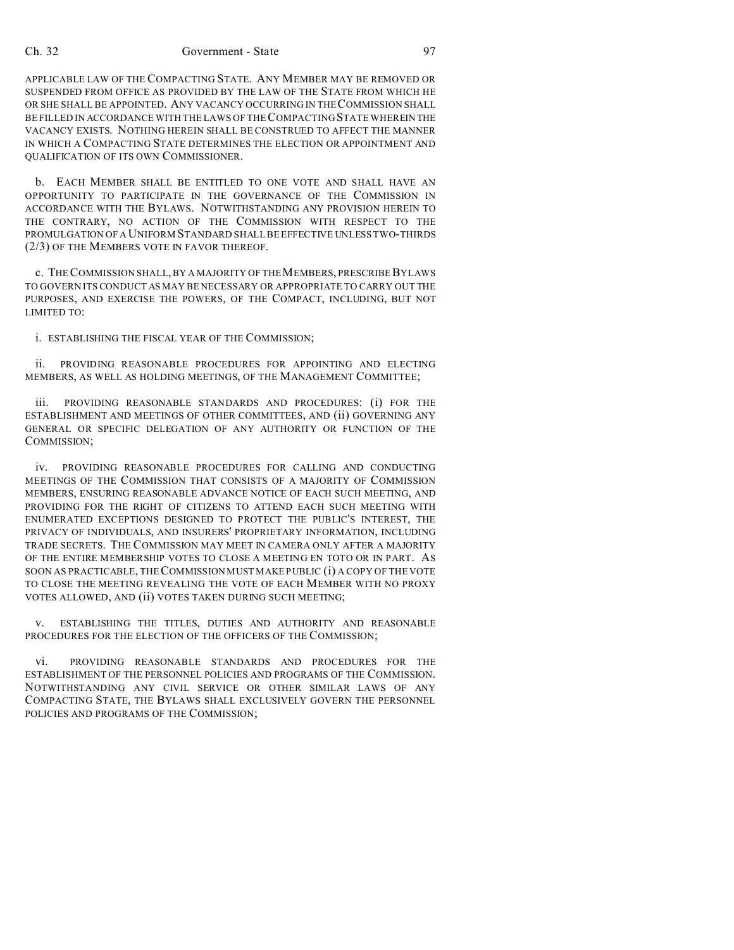#### Ch. 32 Government - State 97

APPLICABLE LAW OF THE COMPACTING STATE. ANY MEMBER MAY BE REMOVED OR SUSPENDED FROM OFFICE AS PROVIDED BY THE LAW OF THE STATE FROM WHICH HE OR SHE SHALL BE APPOINTED. ANY VACANCY OCCURRING IN THE COMMISSION SHALL BE FILLED IN ACCORDANCE WITH THE LAWS OF THE COMPACTING STATE WHEREIN THE VACANCY EXISTS. NOTHING HEREIN SHALL BE CONSTRUED TO AFFECT THE MANNER IN WHICH A COMPACTING STATE DETERMINES THE ELECTION OR APPOINTMENT AND QUALIFICATION OF ITS OWN COMMISSIONER.

b. EACH MEMBER SHALL BE ENTITLED TO ONE VOTE AND SHALL HAVE AN OPPORTUNITY TO PARTICIPATE IN THE GOVERNANCE OF THE COMMISSION IN ACCORDANCE WITH THE BYLAWS. NOTWITHSTANDING ANY PROVISION HEREIN TO THE CONTRARY, NO ACTION OF THE COMMISSION WITH RESPECT TO THE PROMULGATION OF A UNIFORM STANDARD SHALL BE EFFECTIVE UNLESS TWO-THIRDS (2/3) OF THE MEMBERS VOTE IN FAVOR THEREOF.

c. THE COMMISSION SHALL, BY A MAJORITY OF THE MEMBERS, PRESCRIBE BYLAWS TO GOVERN ITS CONDUCT AS MAY BE NECESSARY OR APPROPRIATE TO CARRY OUT THE PURPOSES, AND EXERCISE THE POWERS, OF THE COMPACT, INCLUDING, BUT NOT LIMITED TO:

i. ESTABLISHING THE FISCAL YEAR OF THE COMMISSION;

ii. PROVIDING REASONABLE PROCEDURES FOR APPOINTING AND ELECTING MEMBERS, AS WELL AS HOLDING MEETINGS, OF THE MANAGEMENT COMMITTEE;

iii. PROVIDING REASONABLE STANDARDS AND PROCEDURES: (i) FOR THE ESTABLISHMENT AND MEETINGS OF OTHER COMMITTEES, AND (ii) GOVERNING ANY GENERAL OR SPECIFIC DELEGATION OF ANY AUTHORITY OR FUNCTION OF THE COMMISSION;

iv. PROVIDING REASONABLE PROCEDURES FOR CALLING AND CONDUCTING MEETINGS OF THE COMMISSION THAT CONSISTS OF A MAJORITY OF COMMISSION MEMBERS, ENSURING REASONABLE ADVANCE NOTICE OF EACH SUCH MEETING, AND PROVIDING FOR THE RIGHT OF CITIZENS TO ATTEND EACH SUCH MEETING WITH ENUMERATED EXCEPTIONS DESIGNED TO PROTECT THE PUBLIC'S INTEREST, THE PRIVACY OF INDIVIDUALS, AND INSURERS' PROPRIETARY INFORMATION, INCLUDING TRADE SECRETS. THE COMMISSION MAY MEET IN CAMERA ONLY AFTER A MAJORITY OF THE ENTIRE MEMBERSHIP VOTES TO CLOSE A MEETING EN TOTO OR IN PART. AS SOON AS PRACTICABLE, THECOMMISSION MUST MAKE PUBLIC (i) A COPY OF THE VOTE TO CLOSE THE MEETING REVEALING THE VOTE OF EACH MEMBER WITH NO PROXY VOTES ALLOWED, AND (ii) VOTES TAKEN DURING SUCH MEETING;

v. ESTABLISHING THE TITLES, DUTIES AND AUTHORITY AND REASONABLE PROCEDURES FOR THE ELECTION OF THE OFFICERS OF THE COMMISSION;

vi. PROVIDING REASONABLE STANDARDS AND PROCEDURES FOR THE ESTABLISHMENT OF THE PERSONNEL POLICIES AND PROGRAMS OF THE COMMISSION. NOTWITHSTANDING ANY CIVIL SERVICE OR OTHER SIMILAR LAWS OF ANY COMPACTING STATE, THE BYLAWS SHALL EXCLUSIVELY GOVERN THE PERSONNEL POLICIES AND PROGRAMS OF THE COMMISSION;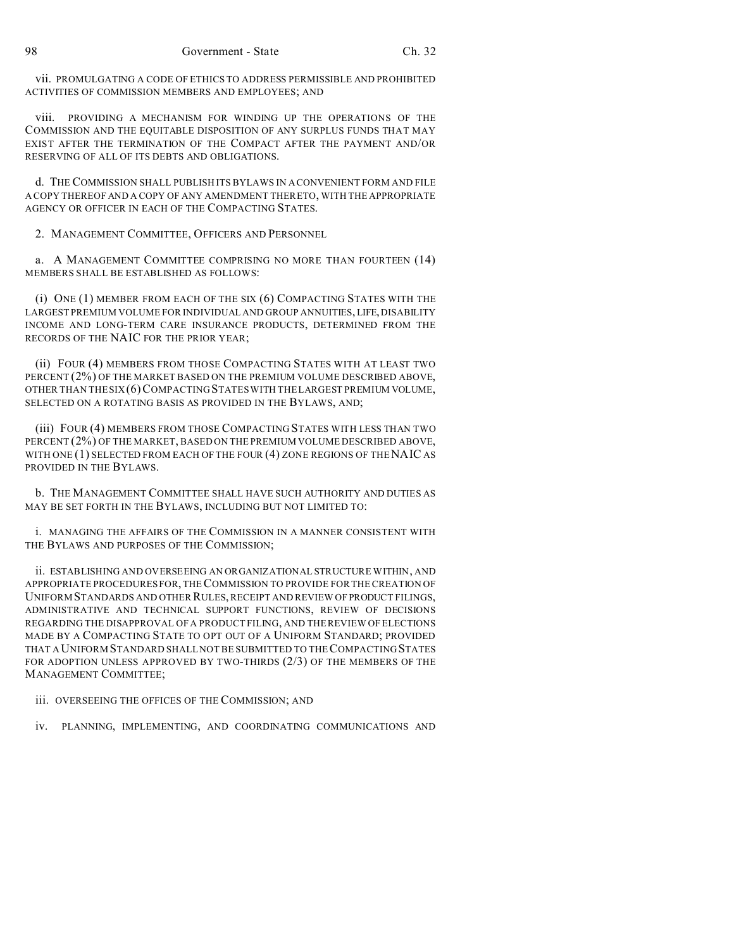vii. PROMULGATING A CODE OF ETHICS TO ADDRESS PERMISSIBLE AND PROHIBITED ACTIVITIES OF COMMISSION MEMBERS AND EMPLOYEES; AND

viii. PROVIDING A MECHANISM FOR WINDING UP THE OPERATIONS OF THE COMMISSION AND THE EQUITABLE DISPOSITION OF ANY SURPLUS FUNDS THAT MAY EXIST AFTER THE TERMINATION OF THE COMPACT AFTER THE PAYMENT AND/OR RESERVING OF ALL OF ITS DEBTS AND OBLIGATIONS.

d. THE COMMISSION SHALL PUBLISH ITS BYLAWS IN A CONVENIENT FORM AND FILE A COPY THEREOF AND A COPY OF ANY AMENDMENT THERETO, WITH THE APPROPRIATE AGENCY OR OFFICER IN EACH OF THE COMPACTING STATES.

2. MANAGEMENT COMMITTEE, OFFICERS AND PERSONNEL

a. A MANAGEMENT COMMITTEE COMPRISING NO MORE THAN FOURTEEN (14) MEMBERS SHALL BE ESTABLISHED AS FOLLOWS:

(i) ONE (1) MEMBER FROM EACH OF THE SIX (6) COMPACTING STATES WITH THE LARGEST PREMIUM VOLUME FOR INDIVIDUAL AND GROUP ANNUITIES, LIFE, DISABILITY INCOME AND LONG-TERM CARE INSURANCE PRODUCTS, DETERMINED FROM THE RECORDS OF THE NAIC FOR THE PRIOR YEAR;

(ii) FOUR (4) MEMBERS FROM THOSE COMPACTING STATES WITH AT LEAST TWO PERCENT (2%) OF THE MARKET BASED ON THE PREMIUM VOLUME DESCRIBED ABOVE, OTHER THAN THE SIX (6)COMPACTING STATES WITH THE LARGEST PREMIUM VOLUME, SELECTED ON A ROTATING BASIS AS PROVIDED IN THE BYLAWS, AND;

(iii) FOUR (4) MEMBERS FROM THOSE COMPACTING STATES WITH LESS THAN TWO PERCENT (2%) OF THE MARKET, BASED ON THE PREMIUM VOLUME DESCRIBED ABOVE, WITH ONE (1) SELECTED FROM EACH OF THE FOUR (4) ZONE REGIONS OF THENAIC AS PROVIDED IN THE BYLAWS.

b. THE MANAGEMENT COMMITTEE SHALL HAVE SUCH AUTHORITY AND DUTIES AS MAY BE SET FORTH IN THE BYLAWS, INCLUDING BUT NOT LIMITED TO:

i. MANAGING THE AFFAIRS OF THE COMMISSION IN A MANNER CONSISTENT WITH THE BYLAWS AND PURPOSES OF THE COMMISSION;

ii. ESTABLISHING AND OVERSEEING AN ORGANIZATIONAL STRUCTURE WITHIN, AND APPROPRIATE PROCEDURES FOR, THE COMMISSION TO PROVIDE FOR THE CREATION OF UNIFORMSTANDARDS AND OTHER RULES, RECEIPT AND REVIEW OF PRODUCT FILINGS, ADMINISTRATIVE AND TECHNICAL SUPPORT FUNCTIONS, REVIEW OF DECISIONS REGARDING THE DISAPPROVAL OF A PRODUCT FILING, AND THE REVIEW OF ELECTIONS MADE BY A COMPACTING STATE TO OPT OUT OF A UNIFORM STANDARD; PROVIDED THAT A UNIFORM STANDARD SHALL NOT BE SUBMITTED TO THE COMPACTINGSTATES FOR ADOPTION UNLESS APPROVED BY TWO-THIRDS (2/3) OF THE MEMBERS OF THE MANAGEMENT COMMITTEE;

iii. OVERSEEING THE OFFICES OF THE COMMISSION; AND

iv. PLANNING, IMPLEMENTING, AND COORDINATING COMMUNICATIONS AND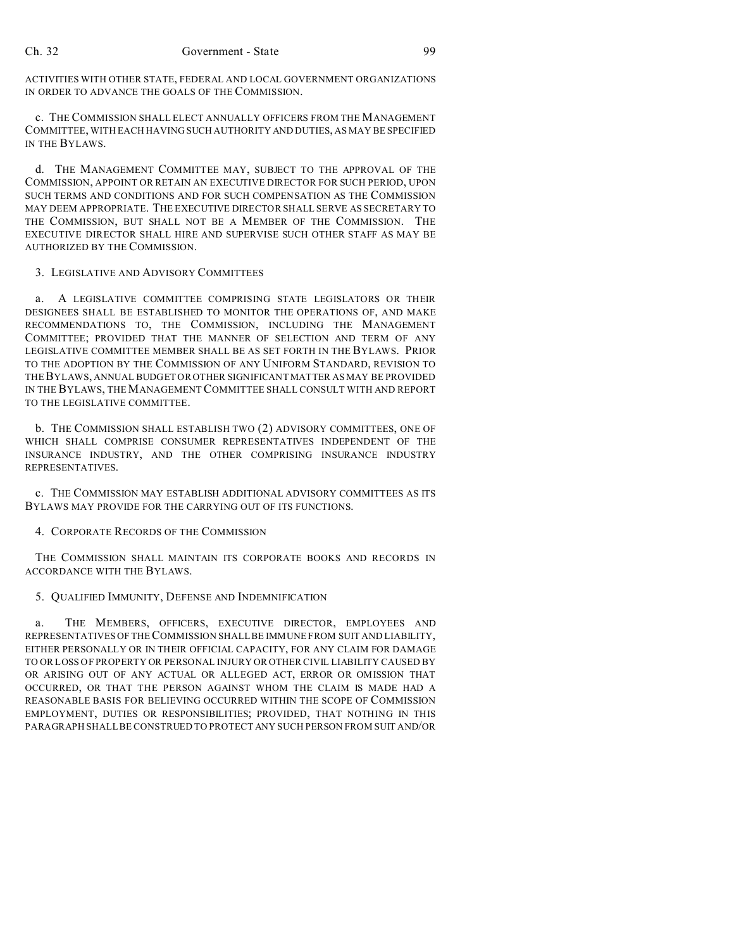ACTIVITIES WITH OTHER STATE, FEDERAL AND LOCAL GOVERNMENT ORGANIZATIONS IN ORDER TO ADVANCE THE GOALS OF THE COMMISSION.

c. THE COMMISSION SHALL ELECT ANNUALLY OFFICERS FROM THE MANAGEMENT COMMITTEE, WITH EACH HAVING SUCH AUTHORITY AND DUTIES, AS MAY BE SPECIFIED IN THE BYLAWS.

d. THE MANAGEMENT COMMITTEE MAY, SUBJECT TO THE APPROVAL OF THE COMMISSION, APPOINT OR RETAIN AN EXECUTIVE DIRECTOR FOR SUCH PERIOD, UPON SUCH TERMS AND CONDITIONS AND FOR SUCH COMPENSATION AS THE COMMISSION MAY DEEM APPROPRIATE. THE EXECUTIVE DIRECTOR SHALL SERVE AS SECRETARY TO THE COMMISSION, BUT SHALL NOT BE A MEMBER OF THE COMMISSION. THE EXECUTIVE DIRECTOR SHALL HIRE AND SUPERVISE SUCH OTHER STAFF AS MAY BE AUTHORIZED BY THE COMMISSION.

#### 3. LEGISLATIVE AND ADVISORY COMMITTEES

a. A LEGISLATIVE COMMITTEE COMPRISING STATE LEGISLATORS OR THEIR DESIGNEES SHALL BE ESTABLISHED TO MONITOR THE OPERATIONS OF, AND MAKE RECOMMENDATIONS TO, THE COMMISSION, INCLUDING THE MANAGEMENT COMMITTEE; PROVIDED THAT THE MANNER OF SELECTION AND TERM OF ANY LEGISLATIVE COMMITTEE MEMBER SHALL BE AS SET FORTH IN THE BYLAWS. PRIOR TO THE ADOPTION BY THE COMMISSION OF ANY UNIFORM STANDARD, REVISION TO THEBYLAWS, ANNUAL BUDGET OR OTHER SIGNIFICANT MATTER AS MAY BE PROVIDED IN THE BYLAWS, THE MANAGEMENT COMMITTEE SHALL CONSULT WITH AND REPORT TO THE LEGISLATIVE COMMITTEE.

b. THE COMMISSION SHALL ESTABLISH TWO (2) ADVISORY COMMITTEES, ONE OF WHICH SHALL COMPRISE CONSUMER REPRESENTATIVES INDEPENDENT OF THE INSURANCE INDUSTRY, AND THE OTHER COMPRISING INSURANCE INDUSTRY REPRESENTATIVES.

c. THE COMMISSION MAY ESTABLISH ADDITIONAL ADVISORY COMMITTEES AS ITS BYLAWS MAY PROVIDE FOR THE CARRYING OUT OF ITS FUNCTIONS.

4. CORPORATE RECORDS OF THE COMMISSION

THE COMMISSION SHALL MAINTAIN ITS CORPORATE BOOKS AND RECORDS IN ACCORDANCE WITH THE BYLAWS.

#### 5. QUALIFIED IMMUNITY, DEFENSE AND INDEMNIFICATION

a. THE MEMBERS, OFFICERS, EXECUTIVE DIRECTOR, EMPLOYEES AND REPRESENTATIVES OF THE COMMISSION SHALL BE IMMUNE FROM SUIT AND LIABILITY, EITHER PERSONALLY OR IN THEIR OFFICIAL CAPACITY, FOR ANY CLAIM FOR DAMAGE TO OR LOSS OF PROPERTY OR PERSONAL INJURY OR OTHER CIVIL LIABILITY CAUSED BY OR ARISING OUT OF ANY ACTUAL OR ALLEGED ACT, ERROR OR OMISSION THAT OCCURRED, OR THAT THE PERSON AGAINST WHOM THE CLAIM IS MADE HAD A REASONABLE BASIS FOR BELIEVING OCCURRED WITHIN THE SCOPE OF COMMISSION EMPLOYMENT, DUTIES OR RESPONSIBILITIES; PROVIDED, THAT NOTHING IN THIS PARAGRAPH SHALL BE CONSTRUED TO PROTECT ANY SUCH PERSON FROM SUIT AND/OR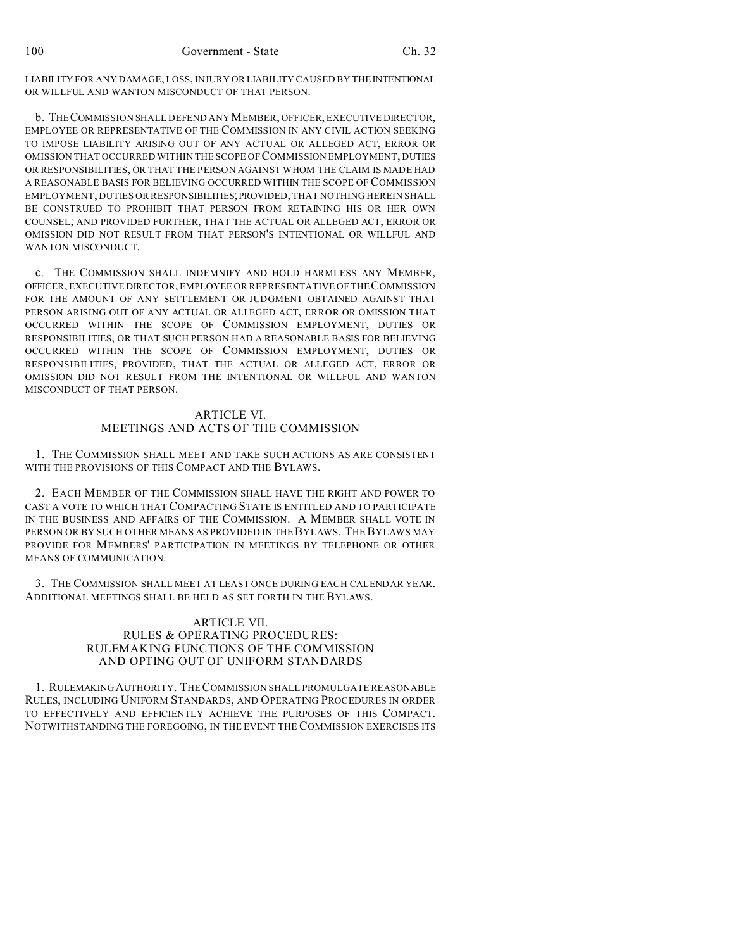LIABILITY FOR ANY DAMAGE, LOSS, INJURY OR LIABILITY CAUSED BY THE INTENTIONAL OR WILLFUL AND WANTON MISCONDUCT OF THAT PERSON.

b. THECOMMISSION SHALL DEFEND ANY MEMBER, OFFICER, EXECUTIVE DIRECTOR, EMPLOYEE OR REPRESENTATIVE OF THE COMMISSION IN ANY CIVIL ACTION SEEKING TO IMPOSE LIABILITY ARISING OUT OF ANY ACTUAL OR ALLEGED ACT, ERROR OR OMISSION THAT OCCURRED WITHIN THE SCOPE OF COMMISSION EMPLOYMENT, DUTIES OR RESPONSIBILITIES, OR THAT THE PERSON AGAINST WHOM THE CLAIM IS MADE HAD A REASONABLE BASIS FOR BELIEVING OCCURRED WITHIN THE SCOPE OF COMMISSION EMPLOYMENT, DUTIES OR RESPONSIBILITIES;PROVIDED, THAT NOTHING HEREIN SHALL BE CONSTRUED TO PROHIBIT THAT PERSON FROM RETAINING HIS OR HER OWN COUNSEL; AND PROVIDED FURTHER, THAT THE ACTUAL OR ALLEGED ACT, ERROR OR OMISSION DID NOT RESULT FROM THAT PERSON'S INTENTIONAL OR WILLFUL AND WANTON MISCONDUCT.

c. THE COMMISSION SHALL INDEMNIFY AND HOLD HARMLESS ANY MEMBER, OFFICER, EXECUTIVE DIRECTOR, EMPLOYEE OR REPRESENTATIVE OF THE COMMISSION FOR THE AMOUNT OF ANY SETTLEMENT OR JUDGMENT OBTAINED AGAINST THAT PERSON ARISING OUT OF ANY ACTUAL OR ALLEGED ACT, ERROR OR OMISSION THAT OCCURRED WITHIN THE SCOPE OF COMMISSION EMPLOYMENT, DUTIES OR RESPONSIBILITIES, OR THAT SUCH PERSON HAD A REASONABLE BASIS FOR BELIEVING OCCURRED WITHIN THE SCOPE OF COMMISSION EMPLOYMENT, DUTIES OR RESPONSIBILITIES, PROVIDED, THAT THE ACTUAL OR ALLEGED ACT, ERROR OR OMISSION DID NOT RESULT FROM THE INTENTIONAL OR WILLFUL AND WANTON MISCONDUCT OF THAT PERSON.

## ARTICLE VI. MEETINGS AND ACTS OF THE COMMISSION

1. THE COMMISSION SHALL MEET AND TAKE SUCH ACTIONS AS ARE CONSISTENT WITH THE PROVISIONS OF THIS COMPACT AND THE BYLAWS.

2. EACH MEMBER OF THE COMMISSION SHALL HAVE THE RIGHT AND POWER TO CAST A VOTE TO WHICH THAT COMPACTING STATE IS ENTITLED AND TO PARTICIPATE IN THE BUSINESS AND AFFAIRS OF THE COMMISSION. A MEMBER SHALL VOTE IN PERSON OR BY SUCH OTHER MEANS AS PROVIDED IN THE BYLAWS. THE BYLAWS MAY PROVIDE FOR MEMBERS' PARTICIPATION IN MEETINGS BY TELEPHONE OR OTHER MEANS OF COMMUNICATION.

3. THE COMMISSION SHALL MEET AT LEAST ONCE DURING EACH CALENDAR YEAR. ADDITIONAL MEETINGS SHALL BE HELD AS SET FORTH IN THE BYLAWS.

#### ARTICLE VII. RULES & OPERATING PROCEDURES: RULEMAKING FUNCTIONS OF THE COMMISSION AND OPTING OUT OF UNIFORM STANDARDS

1. RULEMAKINGAUTHORITY. THE COMMISSION SHALL PROMULGATE REASONABLE RULES, INCLUDING UNIFORM STANDARDS, AND OPERATING PROCEDURES IN ORDER TO EFFECTIVELY AND EFFICIENTLY ACHIEVE THE PURPOSES OF THIS COMPACT. NOTWITHSTANDING THE FOREGOING, IN THE EVENT THE COMMISSION EXERCISES ITS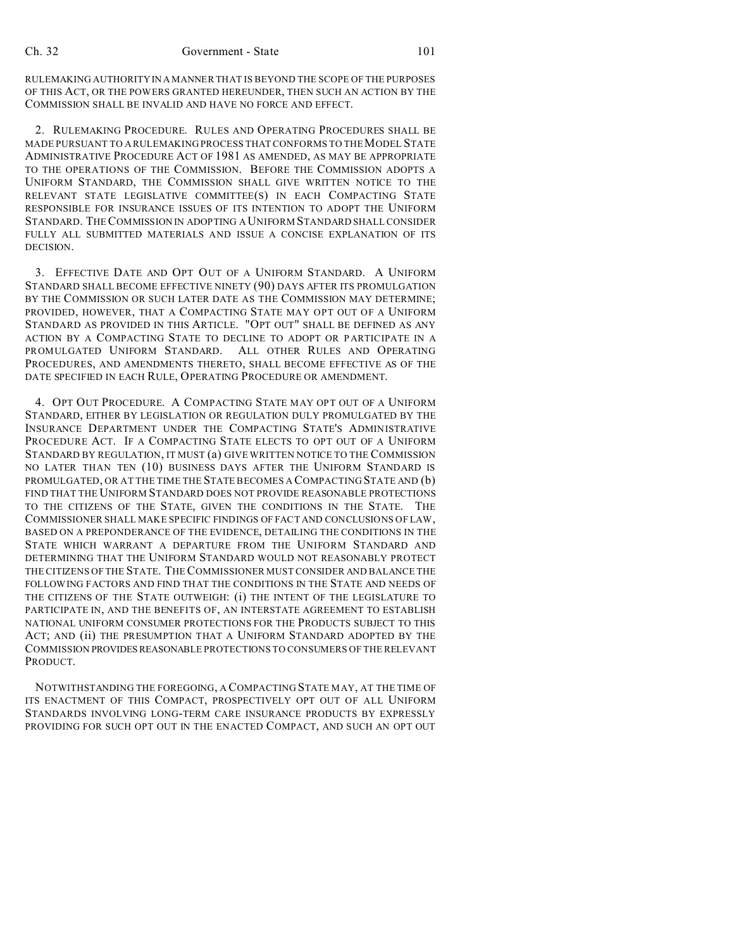RULEMAKING AUTHORITY IN A MANNER THAT IS BEYOND THE SCOPE OF THE PURPOSES OF THIS ACT, OR THE POWERS GRANTED HEREUNDER, THEN SUCH AN ACTION BY THE COMMISSION SHALL BE INVALID AND HAVE NO FORCE AND EFFECT.

2. RULEMAKING PROCEDURE. RULES AND OPERATING PROCEDURES SHALL BE MADE PURSUANT TO A RULEMAKING PROCESS THAT CONFORMS TO THEMODEL STATE ADMINISTRATIVE PROCEDURE ACT OF 1981 AS AMENDED, AS MAY BE APPROPRIATE TO THE OPERATIONS OF THE COMMISSION. BEFORE THE COMMISSION ADOPTS A UNIFORM STANDARD, THE COMMISSION SHALL GIVE WRITTEN NOTICE TO THE RELEVANT STATE LEGISLATIVE COMMITTEE(S) IN EACH COMPACTING STATE RESPONSIBLE FOR INSURANCE ISSUES OF ITS INTENTION TO ADOPT THE UNIFORM STANDARD. THE COMMISSION IN ADOPTING A UNIFORM STANDARD SHALL CONSIDER FULLY ALL SUBMITTED MATERIALS AND ISSUE A CONCISE EXPLANATION OF ITS DECISION.

3. EFFECTIVE DATE AND OPT OUT OF A UNIFORM STANDARD. A UNIFORM STANDARD SHALL BECOME EFFECTIVE NINETY (90) DAYS AFTER ITS PROMULGATION BY THE COMMISSION OR SUCH LATER DATE AS THE COMMISSION MAY DETERMINE; PROVIDED, HOWEVER, THAT A COMPACTING STATE MAY OPT OUT OF A UNIFORM STANDARD AS PROVIDED IN THIS ARTICLE. "OPT OUT" SHALL BE DEFINED AS ANY ACTION BY A COMPACTING STATE TO DECLINE TO ADOPT OR PARTICIPATE IN A PROMULGATED UNIFORM STANDARD. ALL OTHER RULES AND OPERATING PROCEDURES, AND AMENDMENTS THERETO, SHALL BECOME EFFECTIVE AS OF THE DATE SPECIFIED IN EACH RULE, OPERATING PROCEDURE OR AMENDMENT.

4. OPT OUT PROCEDURE. A COMPACTING STATE MAY OPT OUT OF A UNIFORM STANDARD, EITHER BY LEGISLATION OR REGULATION DULY PROMULGATED BY THE INSURANCE DEPARTMENT UNDER THE COMPACTING STATE'S ADMINISTRATIVE PROCEDURE ACT. IF A COMPACTING STATE ELECTS TO OPT OUT OF A UNIFORM STANDARD BY REGULATION, IT MUST (a) GIVE WRITTEN NOTICE TO THE COMMISSION NO LATER THAN TEN (10) BUSINESS DAYS AFTER THE UNIFORM STANDARD IS PROMULGATED, OR AT THE TIME THE STATE BECOMES A COMPACTING STATE AND (b) FIND THAT THE UNIFORM STANDARD DOES NOT PROVIDE REASONABLE PROTECTIONS TO THE CITIZENS OF THE STATE, GIVEN THE CONDITIONS IN THE STATE. THE COMMISSIONER SHALL MAKE SPECIFIC FINDINGS OF FACT AND CONCLUSIONS OF LAW, BASED ON A PREPONDERANCE OF THE EVIDENCE, DETAILING THE CONDITIONS IN THE STATE WHICH WARRANT A DEPARTURE FROM THE UNIFORM STANDARD AND DETERMINING THAT THE UNIFORM STANDARD WOULD NOT REASONABLY PROTECT THE CITIZENS OF THE STATE. THE COMMISSIONER MUST CONSIDER AND BALANCE THE FOLLOWING FACTORS AND FIND THAT THE CONDITIONS IN THE STATE AND NEEDS OF THE CITIZENS OF THE STATE OUTWEIGH: (i) THE INTENT OF THE LEGISLATURE TO PARTICIPATE IN, AND THE BENEFITS OF, AN INTERSTATE AGREEMENT TO ESTABLISH NATIONAL UNIFORM CONSUMER PROTECTIONS FOR THE PRODUCTS SUBJECT TO THIS ACT; AND (ii) THE PRESUMPTION THAT A UNIFORM STANDARD ADOPTED BY THE COMMISSION PROVIDESREASONABLE PROTECTIONS TO CONSUMERS OF THE RELEVANT PRODUCT.

NOTWITHSTANDING THE FOREGOING, A COMPACTING STATE MAY, AT THE TIME OF ITS ENACTMENT OF THIS COMPACT, PROSPECTIVELY OPT OUT OF ALL UNIFORM STANDARDS INVOLVING LONG-TERM CARE INSURANCE PRODUCTS BY EXPRESSLY PROVIDING FOR SUCH OPT OUT IN THE ENACTED COMPACT, AND SUCH AN OPT OUT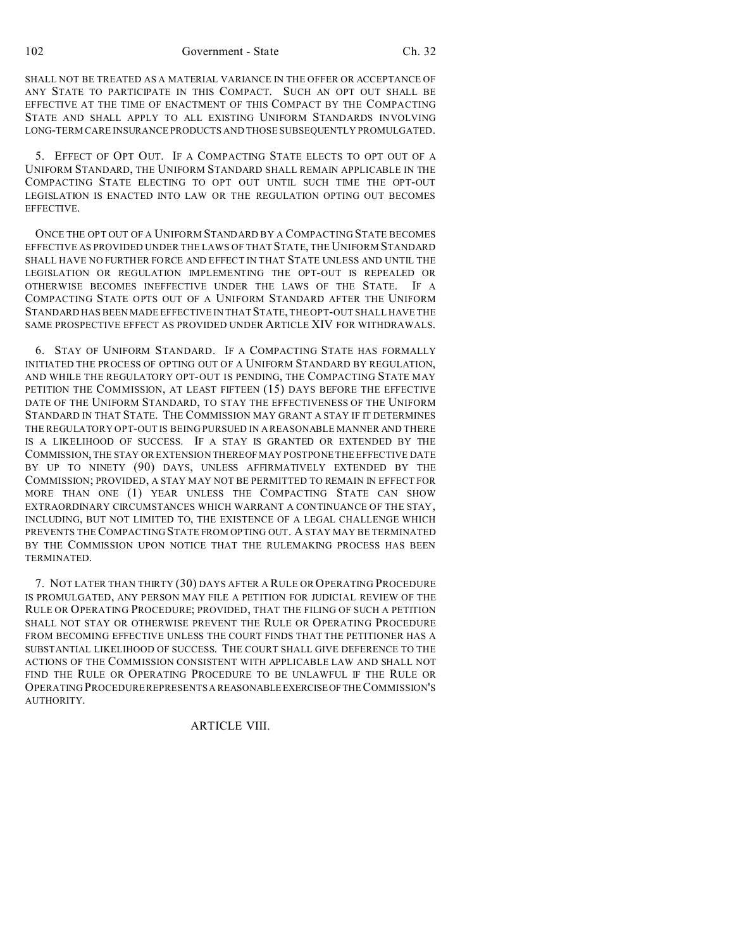SHALL NOT BE TREATED AS A MATERIAL VARIANCE IN THE OFFER OR ACCEPTANCE OF ANY STATE TO PARTICIPATE IN THIS COMPACT. SUCH AN OPT OUT SHALL BE EFFECTIVE AT THE TIME OF ENACTMENT OF THIS COMPACT BY THE COMPACTING STATE AND SHALL APPLY TO ALL EXISTING UNIFORM STANDARDS INVOLVING LONG-TERM CARE INSURANCE PRODUCTS AND THOSE SUBSEQUENTLY PROMULGATED.

5. EFFECT OF OPT OUT. IF A COMPACTING STATE ELECTS TO OPT OUT OF A UNIFORM STANDARD, THE UNIFORM STANDARD SHALL REMAIN APPLICABLE IN THE COMPACTING STATE ELECTING TO OPT OUT UNTIL SUCH TIME THE OPT-OUT LEGISLATION IS ENACTED INTO LAW OR THE REGULATION OPTING OUT BECOMES EFFECTIVE.

ONCE THE OPT OUT OF A UNIFORM STANDARD BY A COMPACTING STATE BECOMES EFFECTIVE AS PROVIDED UNDER THE LAWS OF THAT STATE, THE UNIFORM STANDARD SHALL HAVE NO FURTHER FORCE AND EFFECT IN THAT STATE UNLESS AND UNTIL THE LEGISLATION OR REGULATION IMPLEMENTING THE OPT-OUT IS REPEALED OR OTHERWISE BECOMES INEFFECTIVE UNDER THE LAWS OF THE STATE. IF A COMPACTING STATE OPTS OUT OF A UNIFORM STANDARD AFTER THE UNIFORM STANDARD HAS BEEN MADE EFFECTIVE IN THAT STATE, THE OPT-OUT SHALL HAVE THE SAME PROSPECTIVE EFFECT AS PROVIDED UNDER ARTICLE XIV FOR WITHDRAWALS.

6. STAY OF UNIFORM STANDARD. IF A COMPACTING STATE HAS FORMALLY INITIATED THE PROCESS OF OPTING OUT OF A UNIFORM STANDARD BY REGULATION, AND WHILE THE REGULATORY OPT-OUT IS PENDING, THE COMPACTING STATE MAY PETITION THE COMMISSION, AT LEAST FIFTEEN (15) DAYS BEFORE THE EFFECTIVE DATE OF THE UNIFORM STANDARD, TO STAY THE EFFECTIVENESS OF THE UNIFORM STANDARD IN THAT STATE. THE COMMISSION MAY GRANT A STAY IF IT DETERMINES THE REGULATORY OPT-OUT IS BEING PURSUED IN A REASONABLE MANNER AND THERE IS A LIKELIHOOD OF SUCCESS. IF A STAY IS GRANTED OR EXTENDED BY THE COMMISSION, THE STAY OR EXTENSION THEREOF MAY POSTPONE THE EFFECTIVE DATE BY UP TO NINETY (90) DAYS, UNLESS AFFIRMATIVELY EXTENDED BY THE COMMISSION; PROVIDED, A STAY MAY NOT BE PERMITTED TO REMAIN IN EFFECT FOR MORE THAN ONE (1) YEAR UNLESS THE COMPACTING STATE CAN SHOW EXTRAORDINARY CIRCUMSTANCES WHICH WARRANT A CONTINUANCE OF THE STAY, INCLUDING, BUT NOT LIMITED TO, THE EXISTENCE OF A LEGAL CHALLENGE WHICH PREVENTS THE COMPACTING STATE FROM OPTING OUT. A STAY MAY BE TERMINATED BY THE COMMISSION UPON NOTICE THAT THE RULEMAKING PROCESS HAS BEEN TERMINATED.

7. NOT LATER THAN THIRTY (30) DAYS AFTER A RULE OR OPERATING PROCEDURE IS PROMULGATED, ANY PERSON MAY FILE A PETITION FOR JUDICIAL REVIEW OF THE RULE OR OPERATING PROCEDURE; PROVIDED, THAT THE FILING OF SUCH A PETITION SHALL NOT STAY OR OTHERWISE PREVENT THE RULE OR OPERATING PROCEDURE FROM BECOMING EFFECTIVE UNLESS THE COURT FINDS THAT THE PETITIONER HAS A SUBSTANTIAL LIKELIHOOD OF SUCCESS. THE COURT SHALL GIVE DEFERENCE TO THE ACTIONS OF THE COMMISSION CONSISTENT WITH APPLICABLE LAW AND SHALL NOT FIND THE RULE OR OPERATING PROCEDURE TO BE UNLAWFUL IF THE RULE OR OPERATING PROCEDURE REPRESENTS A REASONABLEEXERCISEOFTHE COMMISSION'S AUTHORITY.

#### ARTICLE VIII.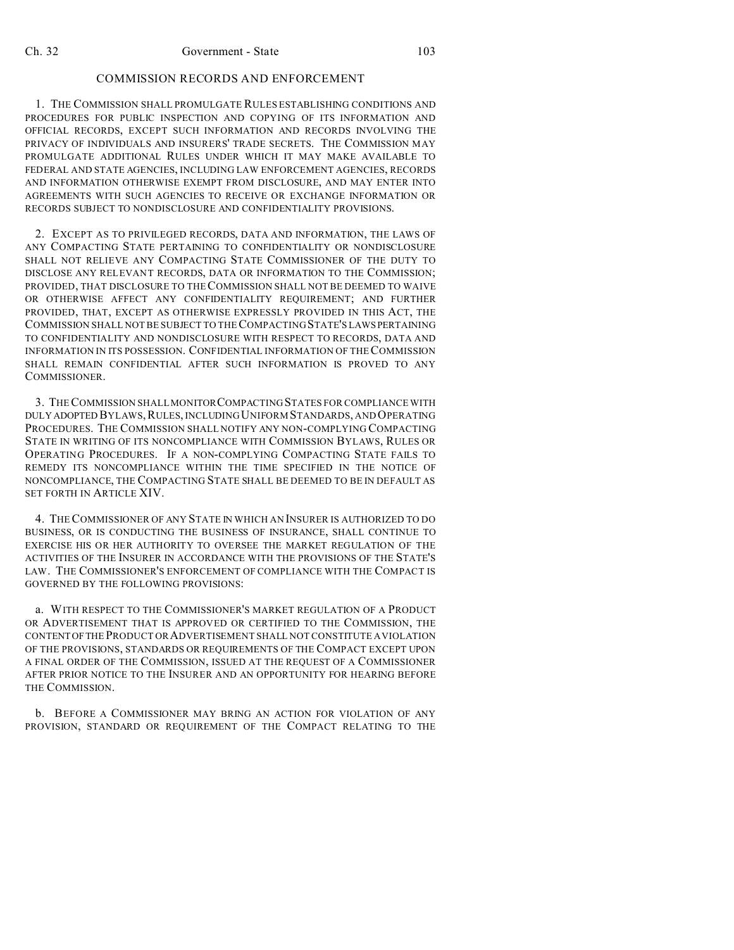# COMMISSION RECORDS AND ENFORCEMENT

1. THE COMMISSION SHALL PROMULGATE RULES ESTABLISHING CONDITIONS AND PROCEDURES FOR PUBLIC INSPECTION AND COPYING OF ITS INFORMATION AND OFFICIAL RECORDS, EXCEPT SUCH INFORMATION AND RECORDS INVOLVING THE PRIVACY OF INDIVIDUALS AND INSURERS' TRADE SECRETS. THE COMMISSION MAY PROMULGATE ADDITIONAL RULES UNDER WHICH IT MAY MAKE AVAILABLE TO FEDERAL AND STATE AGENCIES, INCLUDING LAW ENFORCEMENT AGENCIES, RECORDS AND INFORMATION OTHERWISE EXEMPT FROM DISCLOSURE, AND MAY ENTER INTO AGREEMENTS WITH SUCH AGENCIES TO RECEIVE OR EXCHANGE INFORMATION OR RECORDS SUBJECT TO NONDISCLOSURE AND CONFIDENTIALITY PROVISIONS.

2. EXCEPT AS TO PRIVILEGED RECORDS, DATA AND INFORMATION, THE LAWS OF ANY COMPACTING STATE PERTAINING TO CONFIDENTIALITY OR NONDISCLOSURE SHALL NOT RELIEVE ANY COMPACTING STATE COMMISSIONER OF THE DUTY TO DISCLOSE ANY RELEVANT RECORDS, DATA OR INFORMATION TO THE COMMISSION; PROVIDED, THAT DISCLOSURE TO THECOMMISSION SHALL NOT BE DEEMED TO WAIVE OR OTHERWISE AFFECT ANY CONFIDENTIALITY REQUIREMENT; AND FURTHER PROVIDED, THAT, EXCEPT AS OTHERWISE EXPRESSLY PROVIDED IN THIS ACT, THE COMMISSION SHALL NOT BE SUBJECT TO THE COMPACTING STATE'S LAWSPERTAINING TO CONFIDENTIALITY AND NONDISCLOSURE WITH RESPECT TO RECORDS, DATA AND INFORMATION IN ITS POSSESSION. CONFIDENTIAL INFORMATION OF THE COMMISSION SHALL REMAIN CONFIDENTIAL AFTER SUCH INFORMATION IS PROVED TO ANY COMMISSIONER.

3. THE COMMISSION SHALL MONITORCOMPACTING STATES FOR COMPLIANCE WITH DULY ADOPTED BYLAWS, RULES, INCLUDING UNIFORM STANDARDS, AND OPERATING PROCEDURES. THE COMMISSION SHALL NOTIFY ANY NON-COMPLYING COMPACTING STATE IN WRITING OF ITS NONCOMPLIANCE WITH COMMISSION BYLAWS, RULES OR OPERATING PROCEDURES. IF A NON-COMPLYING COMPACTING STATE FAILS TO REMEDY ITS NONCOMPLIANCE WITHIN THE TIME SPECIFIED IN THE NOTICE OF NONCOMPLIANCE, THE COMPACTING STATE SHALL BE DEEMED TO BE IN DEFAULT AS SET FORTH IN ARTICLE XIV.

4. THE COMMISSIONER OF ANY STATE IN WHICH AN INSURER IS AUTHORIZED TO DO BUSINESS, OR IS CONDUCTING THE BUSINESS OF INSURANCE, SHALL CONTINUE TO EXERCISE HIS OR HER AUTHORITY TO OVERSEE THE MARKET REGULATION OF THE ACTIVITIES OF THE INSURER IN ACCORDANCE WITH THE PROVISIONS OF THE STATE'S LAW. THE COMMISSIONER'S ENFORCEMENT OF COMPLIANCE WITH THE COMPACT IS GOVERNED BY THE FOLLOWING PROVISIONS:

a. WITH RESPECT TO THE COMMISSIONER'S MARKET REGULATION OF A PRODUCT OR ADVERTISEMENT THAT IS APPROVED OR CERTIFIED TO THE COMMISSION, THE CONTENTOFTHE PRODUCT OR ADVERTISEMENT SHALL NOT CONSTITUTE A VIOLATION OF THE PROVISIONS, STANDARDS OR REQUIREMENTS OF THE COMPACT EXCEPT UPON A FINAL ORDER OF THE COMMISSION, ISSUED AT THE REQUEST OF A COMMISSIONER AFTER PRIOR NOTICE TO THE INSURER AND AN OPPORTUNITY FOR HEARING BEFORE THE COMMISSION.

b. BEFORE A COMMISSIONER MAY BRING AN ACTION FOR VIOLATION OF ANY PROVISION, STANDARD OR REQUIREMENT OF THE COMPACT RELATING TO THE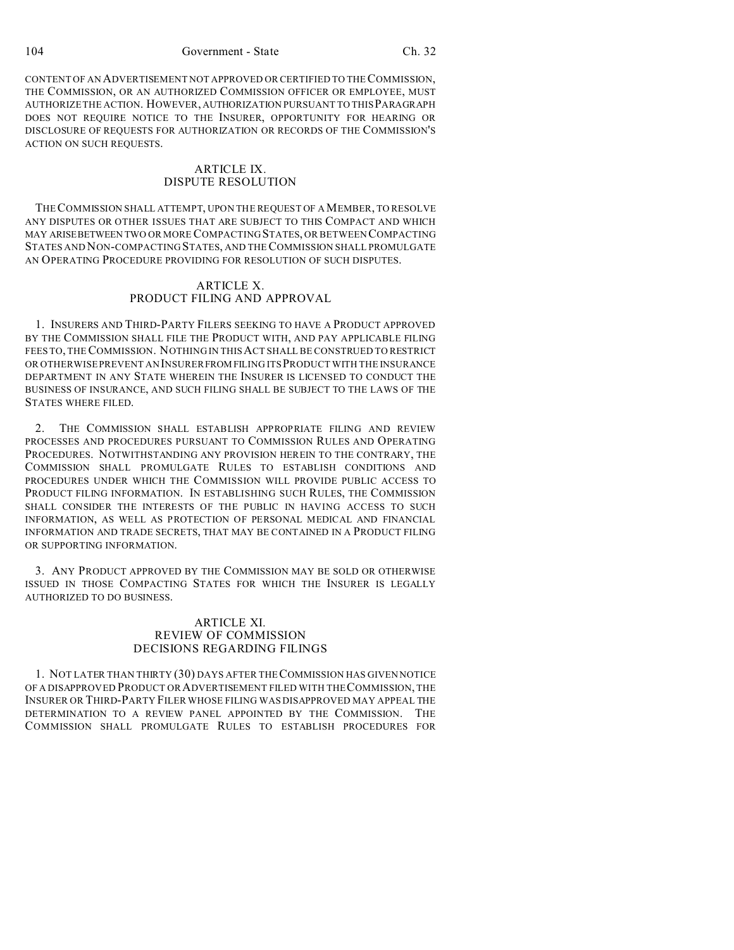104 Government - State Ch. 32

CONTENT OF AN ADVERTISEMENT NOT APPROVED OR CERTIFIED TO THE COMMISSION, THE COMMISSION, OR AN AUTHORIZED COMMISSION OFFICER OR EMPLOYEE, MUST AUTHORIZE THE ACTION. HOWEVER, AUTHORIZATION PURSUANT TO THIS PARAGRAPH DOES NOT REQUIRE NOTICE TO THE INSURER, OPPORTUNITY FOR HEARING OR DISCLOSURE OF REQUESTS FOR AUTHORIZATION OR RECORDS OF THE COMMISSION'S ACTION ON SUCH REQUESTS.

#### ARTICLE IX. DISPUTE RESOLUTION

THECOMMISSION SHALL ATTEMPT, UPON THE REQUEST OF A MEMBER, TO RESOLVE ANY DISPUTES OR OTHER ISSUES THAT ARE SUBJECT TO THIS COMPACT AND WHICH MAY ARISEBETWEEN TWO OR MORE COMPACTING STATES, OR BETWEEN COMPACTING STATES AND NON-COMPACTING STATES, AND THE COMMISSION SHALL PROMULGATE AN OPERATING PROCEDURE PROVIDING FOR RESOLUTION OF SUCH DISPUTES.

#### ARTICLE X. PRODUCT FILING AND APPROVAL

1. INSURERS AND THIRD-PARTY FILERS SEEKING TO HAVE A PRODUCT APPROVED BY THE COMMISSION SHALL FILE THE PRODUCT WITH, AND PAY APPLICABLE FILING FEES TO, THECOMMISSION. NOTHING IN THIS ACT SHALL BE CONSTRUED TO RESTRICT OR OTHERWISE PREVENT AN INSURERFROMFILING ITS PRODUCT WITH THE INSURANCE DEPARTMENT IN ANY STATE WHEREIN THE INSURER IS LICENSED TO CONDUCT THE BUSINESS OF INSURANCE, AND SUCH FILING SHALL BE SUBJECT TO THE LAWS OF THE STATES WHERE FILED.

2. THE COMMISSION SHALL ESTABLISH APPROPRIATE FILING AND REVIEW PROCESSES AND PROCEDURES PURSUANT TO COMMISSION RULES AND OPERATING PROCEDURES. NOTWITHSTANDING ANY PROVISION HEREIN TO THE CONTRARY, THE COMMISSION SHALL PROMULGATE RULES TO ESTABLISH CONDITIONS AND PROCEDURES UNDER WHICH THE COMMISSION WILL PROVIDE PUBLIC ACCESS TO PRODUCT FILING INFORMATION. IN ESTABLISHING SUCH RULES, THE COMMISSION SHALL CONSIDER THE INTERESTS OF THE PUBLIC IN HAVING ACCESS TO SUCH INFORMATION, AS WELL AS PROTECTION OF PERSONAL MEDICAL AND FINANCIAL INFORMATION AND TRADE SECRETS, THAT MAY BE CONTAINED IN A PRODUCT FILING OR SUPPORTING INFORMATION.

3. ANY PRODUCT APPROVED BY THE COMMISSION MAY BE SOLD OR OTHERWISE ISSUED IN THOSE COMPACTING STATES FOR WHICH THE INSURER IS LEGALLY AUTHORIZED TO DO BUSINESS.

#### ARTICLE XI. REVIEW OF COMMISSION DECISIONS REGARDING FILINGS

1. NOT LATER THAN THIRTY (30) DAYS AFTER THE COMMISSION HAS GIVEN NOTICE OF A DISAPPROVED PRODUCT OR ADVERTISEMENT FILED WITH THECOMMISSION, THE INSURER OR THIRD-PARTY FILER WHOSE FILING WAS DISAPPROVED MAY APPEAL THE DETERMINATION TO A REVIEW PANEL APPOINTED BY THE COMMISSION. THE COMMISSION SHALL PROMULGATE RULES TO ESTABLISH PROCEDURES FOR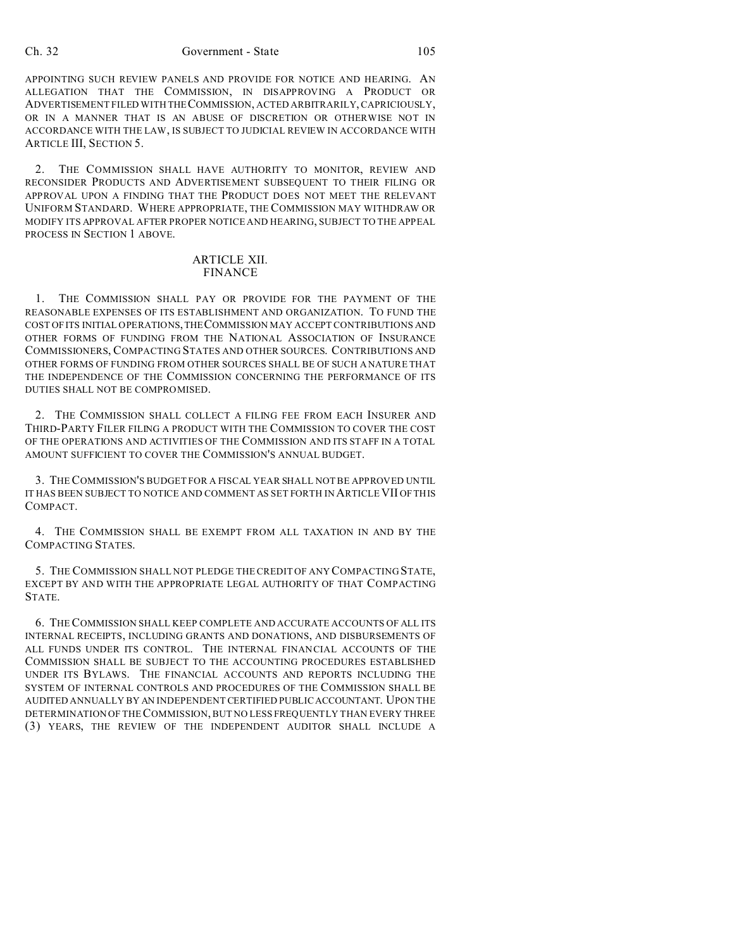#### Ch. 32 Government - State 105

APPOINTING SUCH REVIEW PANELS AND PROVIDE FOR NOTICE AND HEARING. AN ALLEGATION THAT THE COMMISSION, IN DISAPPROVING A PRODUCT OR ADVERTISEMENT FILED WITH THECOMMISSION, ACTED ARBITRARILY, CAPRICIOUSLY, OR IN A MANNER THAT IS AN ABUSE OF DISCRETION OR OTHERWISE NOT IN ACCORDANCE WITH THE LAW, IS SUBJECT TO JUDICIAL REVIEW IN ACCORDANCE WITH ARTICLE III, SECTION 5.

2. THE COMMISSION SHALL HAVE AUTHORITY TO MONITOR, REVIEW AND RECONSIDER PRODUCTS AND ADVERTISEMENT SUBSEQUENT TO THEIR FILING OR APPROVAL UPON A FINDING THAT THE PRODUCT DOES NOT MEET THE RELEVANT UNIFORM STANDARD. WHERE APPROPRIATE, THE COMMISSION MAY WITHDRAW OR MODIFY ITS APPROVAL AFTER PROPER NOTICE AND HEARING, SUBJECT TO THE APPEAL PROCESS IN SECTION 1 ABOVE.

#### ARTICLE XII. FINANCE

1. THE COMMISSION SHALL PAY OR PROVIDE FOR THE PAYMENT OF THE REASONABLE EXPENSES OF ITS ESTABLISHMENT AND ORGANIZATION. TO FUND THE COST OF ITS INITIAL OPERATIONS,THECOMMISSION MAY ACCEPT CONTRIBUTIONS AND OTHER FORMS OF FUNDING FROM THE NATIONAL ASSOCIATION OF INSURANCE COMMISSIONERS, COMPACTING STATES AND OTHER SOURCES. CONTRIBUTIONS AND OTHER FORMS OF FUNDING FROM OTHER SOURCES SHALL BE OF SUCH A NATURE THAT THE INDEPENDENCE OF THE COMMISSION CONCERNING THE PERFORMANCE OF ITS DUTIES SHALL NOT BE COMPROMISED.

2. THE COMMISSION SHALL COLLECT A FILING FEE FROM EACH INSURER AND THIRD-PARTY FILER FILING A PRODUCT WITH THE COMMISSION TO COVER THE COST OF THE OPERATIONS AND ACTIVITIES OF THE COMMISSION AND ITS STAFF IN A TOTAL AMOUNT SUFFICIENT TO COVER THE COMMISSION'S ANNUAL BUDGET.

3. THE COMMISSION'S BUDGET FOR A FISCAL YEAR SHALL NOT BE APPROVED UNTIL IT HAS BEEN SUBJECT TO NOTICE AND COMMENT AS SET FORTH IN ARTICLE VII OF THIS COMPACT.

4. THE COMMISSION SHALL BE EXEMPT FROM ALL TAXATION IN AND BY THE COMPACTING STATES.

5. THE COMMISSION SHALL NOT PLEDGE THE CREDIT OF ANY COMPACTING STATE, EXCEPT BY AND WITH THE APPROPRIATE LEGAL AUTHORITY OF THAT COMPACTING STATE.

6. THE COMMISSION SHALL KEEP COMPLETE AND ACCURATE ACCOUNTS OF ALL ITS INTERNAL RECEIPTS, INCLUDING GRANTS AND DONATIONS, AND DISBURSEMENTS OF ALL FUNDS UNDER ITS CONTROL. THE INTERNAL FINANCIAL ACCOUNTS OF THE COMMISSION SHALL BE SUBJECT TO THE ACCOUNTING PROCEDURES ESTABLISHED UNDER ITS BYLAWS. THE FINANCIAL ACCOUNTS AND REPORTS INCLUDING THE SYSTEM OF INTERNAL CONTROLS AND PROCEDURES OF THE COMMISSION SHALL BE AUDITED ANNUALLY BY AN INDEPENDENT CERTIFIED PUBLIC ACCOUNTANT. UPON THE DETERMINATION OF THE COMMISSION, BUT NO LESS FREQUENTLY THAN EVERY THREE (3) YEARS, THE REVIEW OF THE INDEPENDENT AUDITOR SHALL INCLUDE A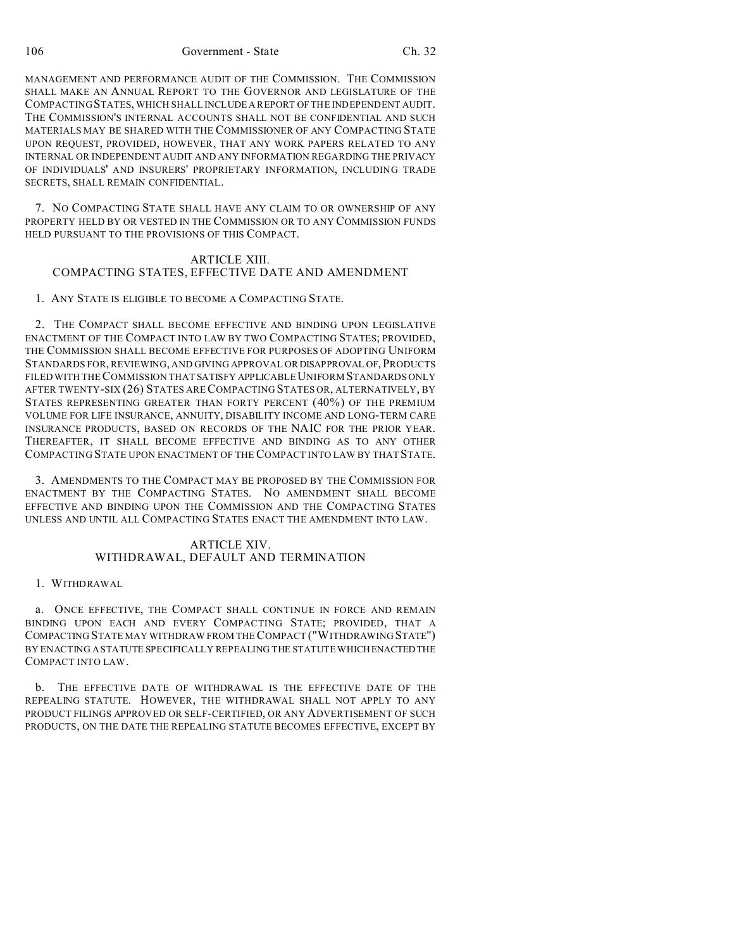106 Government - State Ch. 32

MANAGEMENT AND PERFORMANCE AUDIT OF THE COMMISSION. THE COMMISSION SHALL MAKE AN ANNUAL REPORT TO THE GOVERNOR AND LEGISLATURE OF THE COMPACTINGSTATES, WHICH SHALL INCLUDE A REPORT OF THE INDEPENDENT AUDIT. THE COMMISSION'S INTERNAL ACCOUNTS SHALL NOT BE CONFIDENTIAL AND SUCH MATERIALS MAY BE SHARED WITH THE COMMISSIONER OF ANY COMPACTING STATE UPON REQUEST, PROVIDED, HOWEVER, THAT ANY WORK PAPERS RELATED TO ANY INTERNAL OR INDEPENDENT AUDIT AND ANY INFORMATION REGARDING THE PRIVACY OF INDIVIDUALS' AND INSURERS' PROPRIETARY INFORMATION, INCLUDING TRADE SECRETS, SHALL REMAIN CONFIDENTIAL.

7. NO COMPACTING STATE SHALL HAVE ANY CLAIM TO OR OWNERSHIP OF ANY PROPERTY HELD BY OR VESTED IN THE COMMISSION OR TO ANY COMMISSION FUNDS HELD PURSUANT TO THE PROVISIONS OF THIS COMPACT.

#### ARTICLE XIII. COMPACTING STATES, EFFECTIVE DATE AND AMENDMENT

1. ANY STATE IS ELIGIBLE TO BECOME A COMPACTING STATE.

2. THE COMPACT SHALL BECOME EFFECTIVE AND BINDING UPON LEGISLATIVE ENACTMENT OF THE COMPACT INTO LAW BY TWO COMPACTING STATES; PROVIDED, THE COMMISSION SHALL BECOME EFFECTIVE FOR PURPOSES OF ADOPTING UNIFORM STANDARDS FOR, REVIEWING, AND GIVING APPROVAL OR DISAPPROVAL OF,PRODUCTS FILED WITH THE COMMISSION THAT SATISFY APPLICABLE UNIFORM STANDARDS ONLY AFTER TWENTY-SIX (26) STATES ARECOMPACTING STATES OR, ALTERNATIVELY, BY STATES REPRESENTING GREATER THAN FORTY PERCENT (40%) OF THE PREMIUM VOLUME FOR LIFE INSURANCE, ANNUITY, DISABILITY INCOME AND LONG-TERM CARE INSURANCE PRODUCTS, BASED ON RECORDS OF THE NAIC FOR THE PRIOR YEAR. THEREAFTER, IT SHALL BECOME EFFECTIVE AND BINDING AS TO ANY OTHER COMPACTING STATE UPON ENACTMENT OF THE COMPACT INTO LAW BY THAT STATE.

3. AMENDMENTS TO THE COMPACT MAY BE PROPOSED BY THE COMMISSION FOR ENACTMENT BY THE COMPACTING STATES. NO AMENDMENT SHALL BECOME EFFECTIVE AND BINDING UPON THE COMMISSION AND THE COMPACTING STATES UNLESS AND UNTIL ALL COMPACTING STATES ENACT THE AMENDMENT INTO LAW.

## ARTICLE XIV. WITHDRAWAL, DEFAULT AND TERMINATION

1. WITHDRAWAL

a. ONCE EFFECTIVE, THE COMPACT SHALL CONTINUE IN FORCE AND REMAIN BINDING UPON EACH AND EVERY COMPACTING STATE; PROVIDED, THAT A COMPACTING STATE MAY WITHDRAW FROM THE COMPACT ("WITHDRAWING STATE") BY ENACTING A STATUTE SPECIFICALLY REPEALING THE STATUTE WHICHENACTEDTHE COMPACT INTO LAW.

b. THE EFFECTIVE DATE OF WITHDRAWAL IS THE EFFECTIVE DATE OF THE REPEALING STATUTE. HOWEVER, THE WITHDRAWAL SHALL NOT APPLY TO ANY PRODUCT FILINGS APPROVED OR SELF-CERTIFIED, OR ANY ADVERTISEMENT OF SUCH PRODUCTS, ON THE DATE THE REPEALING STATUTE BECOMES EFFECTIVE, EXCEPT BY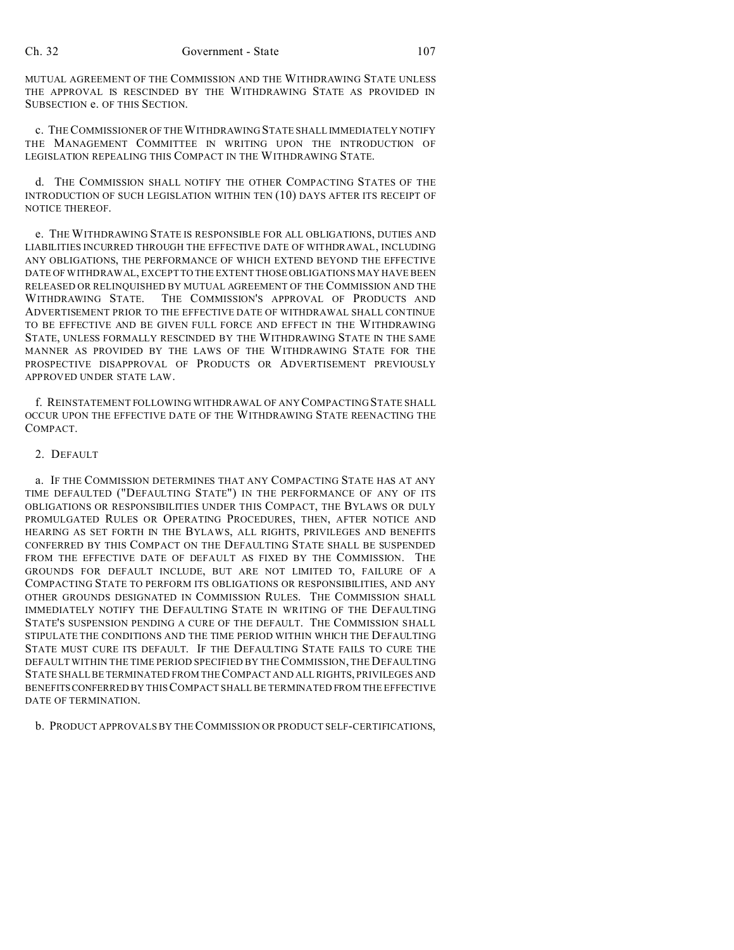MUTUAL AGREEMENT OF THE COMMISSION AND THE WITHDRAWING STATE UNLESS THE APPROVAL IS RESCINDED BY THE WITHDRAWING STATE AS PROVIDED IN SUBSECTION e. OF THIS SECTION.

c. THECOMMISSIONER OF THE WITHDRAWING STATE SHALL IMMEDIATELY NOTIFY THE MANAGEMENT COMMITTEE IN WRITING UPON THE INTRODUCTION OF LEGISLATION REPEALING THIS COMPACT IN THE WITHDRAWING STATE.

d. THE COMMISSION SHALL NOTIFY THE OTHER COMPACTING STATES OF THE INTRODUCTION OF SUCH LEGISLATION WITHIN TEN (10) DAYS AFTER ITS RECEIPT OF NOTICE THEREOF.

e. THE WITHDRAWING STATE IS RESPONSIBLE FOR ALL OBLIGATIONS, DUTIES AND LIABILITIES INCURRED THROUGH THE EFFECTIVE DATE OF WITHDRAWAL, INCLUDING ANY OBLIGATIONS, THE PERFORMANCE OF WHICH EXTEND BEYOND THE EFFECTIVE DATE OF WITHDRAWAL, EXCEPT TO THE EXTENT THOSE OBLIGATIONS MAY HAVE BEEN RELEASED OR RELINQUISHED BY MUTUAL AGREEMENT OF THE COMMISSION AND THE WITHDRAWING STATE. THE COMMISSION'S APPROVAL OF PRODUCTS AND ADVERTISEMENT PRIOR TO THE EFFECTIVE DATE OF WITHDRAWAL SHALL CONTINUE TO BE EFFECTIVE AND BE GIVEN FULL FORCE AND EFFECT IN THE WITHDRAWING STATE, UNLESS FORMALLY RESCINDED BY THE WITHDRAWING STATE IN THE SAME MANNER AS PROVIDED BY THE LAWS OF THE WITHDRAWING STATE FOR THE PROSPECTIVE DISAPPROVAL OF PRODUCTS OR ADVERTISEMENT PREVIOUSLY APPROVED UNDER STATE LAW.

f. REINSTATEMENT FOLLOWING WITHDRAWAL OF ANY COMPACTING STATE SHALL OCCUR UPON THE EFFECTIVE DATE OF THE WITHDRAWING STATE REENACTING THE COMPACT.

#### 2. DEFAULT

a. IF THE COMMISSION DETERMINES THAT ANY COMPACTING STATE HAS AT ANY TIME DEFAULTED ("DEFAULTING STATE") IN THE PERFORMANCE OF ANY OF ITS OBLIGATIONS OR RESPONSIBILITIES UNDER THIS COMPACT, THE BYLAWS OR DULY PROMULGATED RULES OR OPERATING PROCEDURES, THEN, AFTER NOTICE AND HEARING AS SET FORTH IN THE BYLAWS, ALL RIGHTS, PRIVILEGES AND BENEFITS CONFERRED BY THIS COMPACT ON THE DEFAULTING STATE SHALL BE SUSPENDED FROM THE EFFECTIVE DATE OF DEFAULT AS FIXED BY THE COMMISSION. THE GROUNDS FOR DEFAULT INCLUDE, BUT ARE NOT LIMITED TO, FAILURE OF A COMPACTING STATE TO PERFORM ITS OBLIGATIONS OR RESPONSIBILITIES, AND ANY OTHER GROUNDS DESIGNATED IN COMMISSION RULES. THE COMMISSION SHALL IMMEDIATELY NOTIFY THE DEFAULTING STATE IN WRITING OF THE DEFAULTING STATE'S SUSPENSION PENDING A CURE OF THE DEFAULT. THE COMMISSION SHALL STIPULATE THE CONDITIONS AND THE TIME PERIOD WITHIN WHICH THE DEFAULTING STATE MUST CURE ITS DEFAULT. IF THE DEFAULTING STATE FAILS TO CURE THE DEFAULT WITHIN THE TIME PERIOD SPECIFIED BY THE COMMISSION, THE DEFAULTING STATE SHALL BE TERMINATED FROM THE COMPACT AND ALL RIGHTS, PRIVILEGES AND BENEFITSCONFERRED BY THIS COMPACT SHALL BE TERMINATED FROM THE EFFECTIVE DATE OF TERMINATION.

b. PRODUCT APPROVALS BY THE COMMISSION OR PRODUCT SELF-CERTIFICATIONS,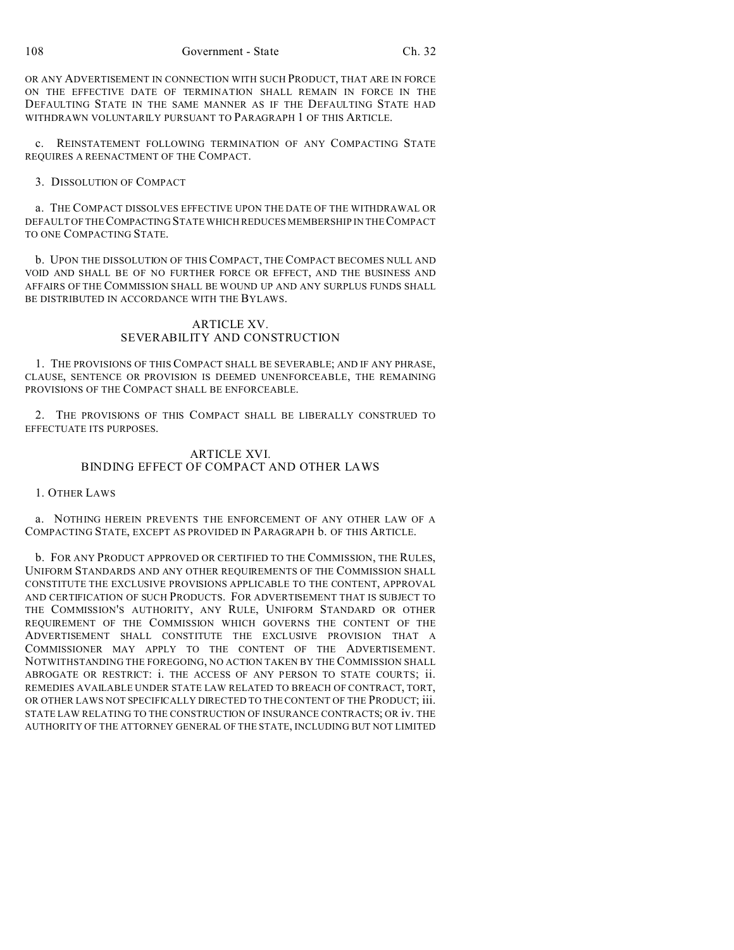OR ANY ADVERTISEMENT IN CONNECTION WITH SUCH PRODUCT, THAT ARE IN FORCE ON THE EFFECTIVE DATE OF TERMINATION SHALL REMAIN IN FORCE IN THE DEFAULTING STATE IN THE SAME MANNER AS IF THE DEFAULTING STATE HAD WITHDRAWN VOLUNTARILY PURSUANT TO PARAGRAPH 1 OF THIS ARTICLE.

c. REINSTATEMENT FOLLOWING TERMINATION OF ANY COMPACTING STATE REQUIRES A REENACTMENT OF THE COMPACT.

# 3. DISSOLUTION OF COMPACT

a. THE COMPACT DISSOLVES EFFECTIVE UPON THE DATE OF THE WITHDRAWAL OR DEFAULT OF THE COMPACTING STATE WHICH REDUCES MEMBERSHIP IN THE COMPACT TO ONE COMPACTING STATE.

b. UPON THE DISSOLUTION OF THIS COMPACT, THE COMPACT BECOMES NULL AND VOID AND SHALL BE OF NO FURTHER FORCE OR EFFECT, AND THE BUSINESS AND AFFAIRS OF THE COMMISSION SHALL BE WOUND UP AND ANY SURPLUS FUNDS SHALL BE DISTRIBUTED IN ACCORDANCE WITH THE BYLAWS.

# ARTICLE XV. SEVERABILITY AND CONSTRUCTION

1. THE PROVISIONS OF THIS COMPACT SHALL BE SEVERABLE; AND IF ANY PHRASE, CLAUSE, SENTENCE OR PROVISION IS DEEMED UNENFORCEABLE, THE REMAINING PROVISIONS OF THE COMPACT SHALL BE ENFORCEABLE.

2. THE PROVISIONS OF THIS COMPACT SHALL BE LIBERALLY CONSTRUED TO EFFECTUATE ITS PURPOSES.

# ARTICLE XVI. BINDING EFFECT OF COMPACT AND OTHER LAWS

#### 1. OTHER LAWS

a. NOTHING HEREIN PREVENTS THE ENFORCEMENT OF ANY OTHER LAW OF A COMPACTING STATE, EXCEPT AS PROVIDED IN PARAGRAPH b. OF THIS ARTICLE.

b. FOR ANY PRODUCT APPROVED OR CERTIFIED TO THE COMMISSION, THE RULES, UNIFORM STANDARDS AND ANY OTHER REQUIREMENTS OF THE COMMISSION SHALL CONSTITUTE THE EXCLUSIVE PROVISIONS APPLICABLE TO THE CONTENT, APPROVAL AND CERTIFICATION OF SUCH PRODUCTS. FOR ADVERTISEMENT THAT IS SUBJECT TO THE COMMISSION'S AUTHORITY, ANY RULE, UNIFORM STANDARD OR OTHER REQUIREMENT OF THE COMMISSION WHICH GOVERNS THE CONTENT OF THE ADVERTISEMENT SHALL CONSTITUTE THE EXCLUSIVE PROVISION THAT A COMMISSIONER MAY APPLY TO THE CONTENT OF THE ADVERTISEMENT. NOTWITHSTANDING THE FOREGOING, NO ACTION TAKEN BY THE COMMISSION SHALL ABROGATE OR RESTRICT: i. THE ACCESS OF ANY PERSON TO STATE COURTS; ii. REMEDIES AVAILABLE UNDER STATE LAW RELATED TO BREACH OF CONTRACT, TORT, OR OTHER LAWS NOT SPECIFICALLY DIRECTED TO THE CONTENT OF THE PRODUCT; iii. STATE LAW RELATING TO THE CONSTRUCTION OF INSURANCE CONTRACTS; OR iv. THE AUTHORITY OF THE ATTORNEY GENERAL OF THE STATE, INCLUDING BUT NOT LIMITED